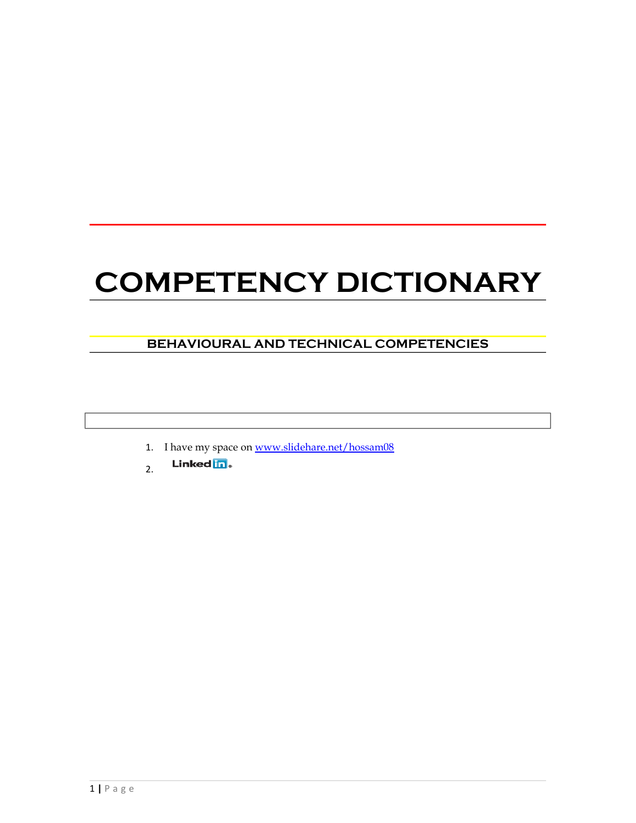# **COMPETENCY DICTIONARY**

# **BEHAVIOURAL AND TECHNICAL COMPETENCIES**

- 1. I have my space on [www.slidehare.net/hossam08](http://www.slidehare.net/hossam08)
- Linked in. 2.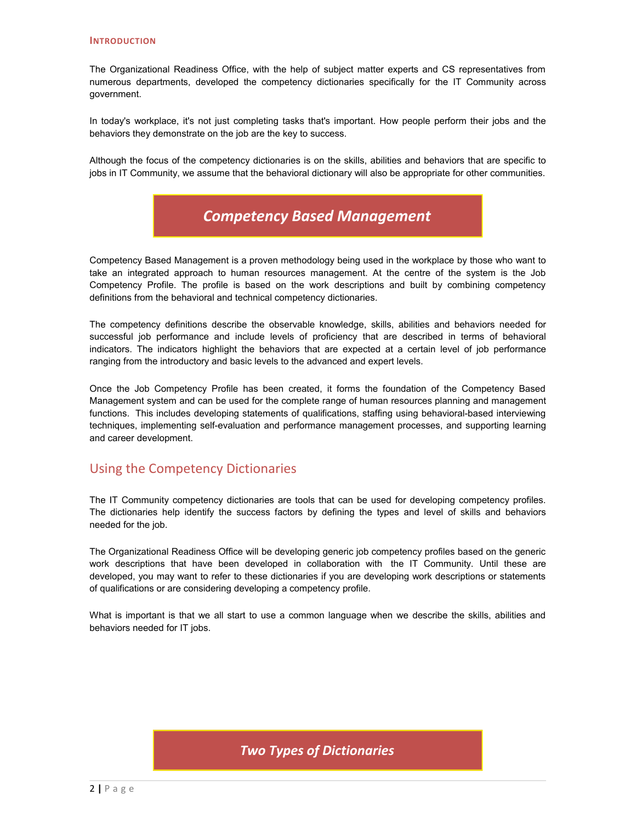#### **INTRODUCTION**

The Organizational Readiness Office, with the help of subject matter experts and CS representatives from numerous departments, developed the competency dictionaries specifically for the IT Community across government.

In today's workplace, it's not just completing tasks that's important. How people perform their jobs and the behaviors they demonstrate on the job are the key to success.

Although the focus of the competency dictionaries is on the skills, abilities and behaviors that are specific to jobs in IT Community, we assume that the behavioral dictionary will also be appropriate for other communities.



Competency Based Management is a proven methodology being used in the workplace by those who want to take an integrated approach to human resources management. At the centre of the system is the Job Competency Profile. The profile is based on the work descriptions and built by combining competency definitions from the behavioral and technical competency dictionaries.

The competency definitions describe the observable knowledge, skills, abilities and behaviors needed for successful job performance and include levels of proficiency that are described in terms of behavioral indicators. The indicators highlight the behaviors that are expected at a certain level of job performance ranging from the introductory and basic levels to the advanced and expert levels.

Once the Job Competency Profile has been created, it forms the foundation of the Competency Based Management system and can be used for the complete range of human resources planning and management functions. This includes developing statements of qualifications, staffing using behavioral-based interviewing techniques, implementing self-evaluation and performance management processes, and supporting learning and career development.

# Using the Competency Dictionaries

The IT Community competency dictionaries are tools that can be used for developing competency profiles. The dictionaries help identify the success factors by defining the types and level of skills and behaviors needed for the job.

The Organizational Readiness Office will be developing generic job competency profiles based on the generic work descriptions that have been developed in collaboration with the IT Community. Until these are developed, you may want to refer to these dictionaries if you are developing work descriptions or statements of qualifications or are considering developing a competency profile.

What is important is that we all start to use a common language when we describe the skills, abilities and behaviors needed for IT jobs.

# *Two Types of Dictionaries*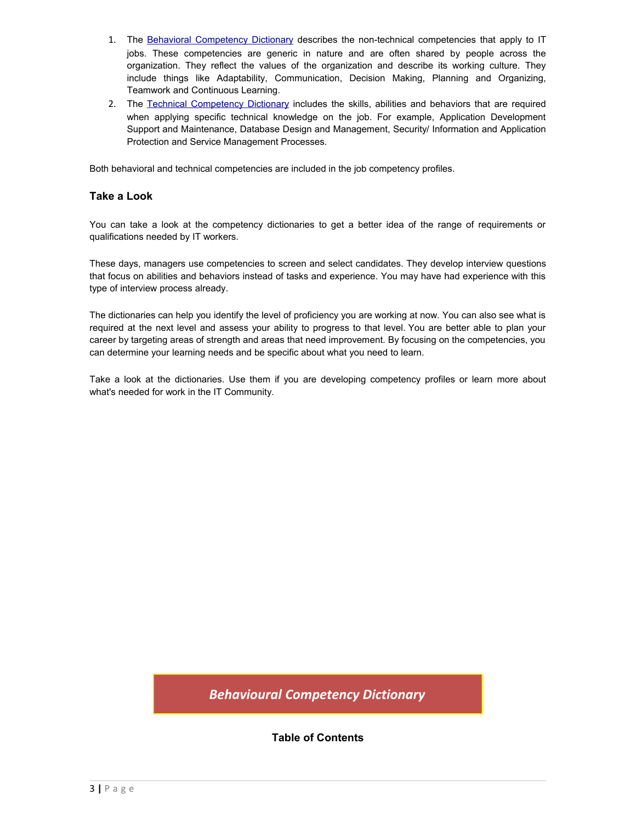- 1. The Behavioral Competency Dictionary describes the non-technical competencies that apply to IT jobs. These competencies are generic in nature and are often shared by people across the organization. They reflect the values of the organization and describe its working culture. They include things like Adaptability, Communication, Decision Making, Planning and Organizing, Teamwork and Continuous Learning.
- 2. The Technical Competency Dictionary includes the skills, abilities and behaviors that are required when applying specific technical knowledge on the job. For example, Application Development Support and Maintenance, Database Design and Management, Security/ Information and Application Protection and Service Management Processes.

Both behavioral and technical competencies are included in the job competency profiles.

# **Take a Look**

You can take a look at the competency dictionaries to get a better idea of the range of requirements or qualifications needed by IT workers.

These days, managers use competencies to screen and select candidates. They develop interview questions that focus on abilities and behaviors instead of tasks and experience. You may have had experience with this type of interview process already.

The dictionaries can help you identify the level of proficiency you are working at now. You can also see what is required at the next level and assess your ability to progress to that level. You are better able to plan your career by targeting areas of strength and areas that need improvement. By focusing on the competencies, you can determine your learning needs and be specific about what you need to learn.

Take a look at the dictionaries. Use them if you are developing competency profiles or learn more about what's needed for work in the IT Community.

*Behavioural Competency Dictionary*

**Table of Contents**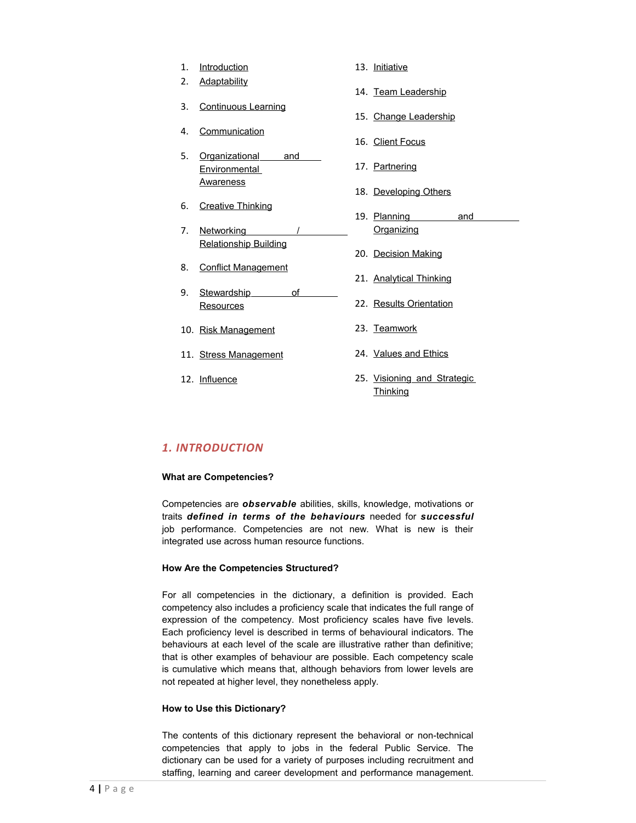1. [Introduction](http://www.solutions.gc.ca/oro-bgc/behav-comp/behav-comp01_e.asp) 2. [Adaptability](http://www.solutions.gc.ca/oro-bgc/behav-comp/behav-comp02_e.asp) 3. [Continuous Learning](http://www.solutions.gc.ca/oro-bgc/behav-comp/behav-comp03_e.asp) 4. [Communication](http://www.solutions.gc.ca/oro-bgc/behav-comp/behav-comp04_e.asp) 5. [Organizational and](http://www.solutions.gc.ca/oro-bgc/behav-comp/behav-comp05_e.asp) **[Environmental](http://www.solutions.gc.ca/oro-bgc/behav-comp/behav-comp05_e.asp) [Awareness](http://www.solutions.gc.ca/oro-bgc/behav-comp/behav-comp05_e.asp)** 6. [Creative Thinking](http://www.solutions.gc.ca/oro-bgc/behav-comp/behav-comp06_e.asp) 7. Networking  [Relationship Building](http://www.solutions.gc.ca/oro-bgc/behav-comp/behav-comp07_e.asp) 8. [Conflict Management](http://www.solutions.gc.ca/oro-bgc/behav-comp/behav-comp08_e.asp) 9. [Stewardship of](http://www.solutions.gc.ca/oro-bgc/behav-comp/behav-comp09_e.asp) **[Resources](http://www.solutions.gc.ca/oro-bgc/behav-comp/behav-comp09_e.asp)** 10. [Risk Management](http://www.solutions.gc.ca/oro-bgc/behav-comp/behav-comp10_e.asp) 11. [Stress Management](http://www.solutions.gc.ca/oro-bgc/behav-comp/behav-comp11_e.asp) 12. [Influence](http://www.solutions.gc.ca/oro-bgc/behav-comp/behav-comp12_e.asp) 13. [Initiative](http://www.solutions.gc.ca/oro-bgc/behav-comp/behav-comp13_e.asp) 14. [Team Leadership](http://www.solutions.gc.ca/oro-bgc/behav-comp/behav-comp14_e.asp) 15. [Change Leadership](http://www.solutions.gc.ca/oro-bgc/behav-comp/behav-comp15_e.asp) 16. [Client Focus](http://www.solutions.gc.ca/oro-bgc/behav-comp/behav-comp16_e.asp) 17. [Partnering](http://www.solutions.gc.ca/oro-bgc/behav-comp/behav-comp17_e.asp) 18. [Developing Others](http://www.solutions.gc.ca/oro-bgc/behav-comp/behav-comp18_e.asp) 19. [Planning and](http://www.solutions.gc.ca/oro-bgc/behav-comp/behav-comp19_e.asp) **[Organizing](http://www.solutions.gc.ca/oro-bgc/behav-comp/behav-comp19_e.asp)** 20. [Decision Making](http://www.solutions.gc.ca/oro-bgc/behav-comp/behav-comp20_e.asp) 21. [Analytical Thinking](http://www.solutions.gc.ca/oro-bgc/behav-comp/behav-comp21_e.asp) 22. [Results Orientation](http://www.solutions.gc.ca/oro-bgc/behav-comp/behav-comp22_e.asp) 23. [Teamwork](http://www.solutions.gc.ca/oro-bgc/behav-comp/behav-comp23_e.asp) 24. [Values and Ethics](http://www.solutions.gc.ca/oro-bgc/behav-comp/behav-comp24_e.asp) 25. [Visioning and Strategic](http://www.solutions.gc.ca/oro-bgc/behav-comp/behav-comp25_e.asp) **[Thinking](http://www.solutions.gc.ca/oro-bgc/behav-comp/behav-comp25_e.asp)** 

# *1. INTRODUCTION*

#### **What are Competencies?**

Competencies are *observable* abilities, skills, knowledge, motivations or traits *defined in terms of the behaviours* needed for *successful* job performance. Competencies are not new. What is new is their integrated use across human resource functions.

#### **How Are the Competencies Structured?**

For all competencies in the dictionary, a definition is provided. Each competency also includes a proficiency scale that indicates the full range of expression of the competency. Most proficiency scales have five levels. Each proficiency level is described in terms of behavioural indicators. The behaviours at each level of the scale are illustrative rather than definitive; that is other examples of behaviour are possible. Each competency scale is cumulative which means that, although behaviors from lower levels are not repeated at higher level, they nonetheless apply.

#### **How to Use this Dictionary?**

The contents of this dictionary represent the behavioral or non-technical competencies that apply to jobs in the federal Public Service. The dictionary can be used for a variety of purposes including recruitment and staffing, learning and career development and performance management.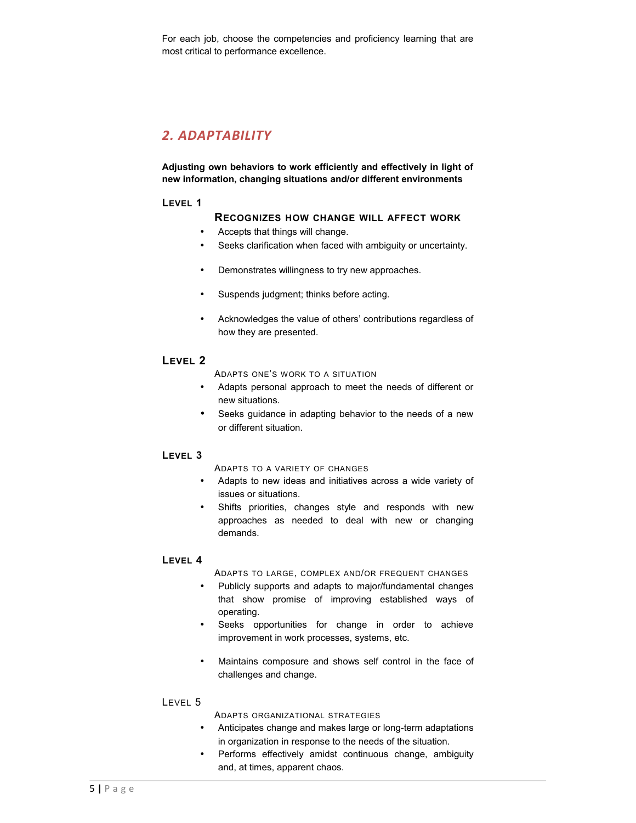For each job, choose the competencies and proficiency learning that are most critical to performance excellence.

# *2. ADAPTABILITY*

**Adjusting own behaviors to work efficiently and effectively in light of new information, changing situations and/or different environments**

#### **LEVEL 1**

#### **RECOGNIZES HOW CHANGE WILL AFFECT WORK**

- Accepts that things will change.
- Seeks clarification when faced with ambiguity or uncertainty.
- Demonstrates willingness to try new approaches.
- Suspends judgment; thinks before acting.
- Acknowledges the value of others' contributions regardless of how they are presented.

## **LEVEL 2**

ADAPTS ONE'S WORK TO A SITUATION

- Adapts personal approach to meet the needs of different or new situations.
- Seeks guidance in adapting behavior to the needs of a new or different situation.

# **LEVEL 3**

ADAPTS TO A VARIETY OF CHANGES

- Adapts to new ideas and initiatives across a wide variety of issues or situations.
- Shifts priorities, changes style and responds with new approaches as needed to deal with new or changing demands.

#### **LEVEL 4**

ADAPTS TO LARGE, COMPLEX AND/OR FREQUENT CHANGES

- Publicly supports and adapts to major/fundamental changes that show promise of improving established ways of operating.
- Seeks opportunities for change in order to achieve improvement in work processes, systems, etc.
- Maintains composure and shows self control in the face of challenges and change.

#### LEVEL 5

ADAPTS ORGANIZATIONAL STRATEGIES

- Anticipates change and makes large or long-term adaptations in organization in response to the needs of the situation.
- Performs effectively amidst continuous change, ambiguity and, at times, apparent chaos.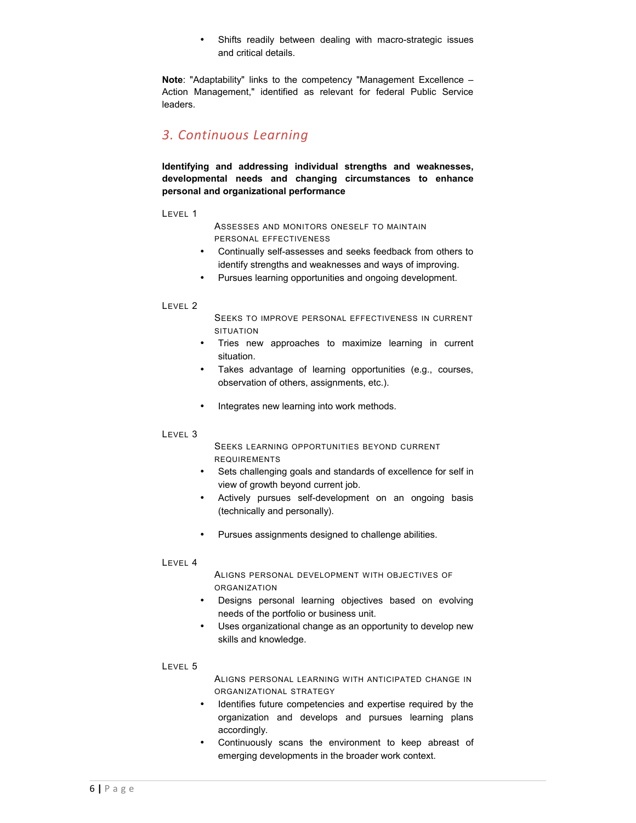• Shifts readily between dealing with macro-strategic issues and critical details.

**Note**: "Adaptability" links to the competency "Management Excellence – Action Management," identified as relevant for federal Public Service leaders.

# *3. Continuous Learning*

**Identifying and addressing individual strengths and weaknesses, developmental needs and changing circumstances to enhance personal and organizational performance**

#### LEVEL 1

ASSESSES AND MONITORS ONESELF TO MAINTAIN PERSONAL EFFECTIVENESS

- Continually self-assesses and seeks feedback from others to identify strengths and weaknesses and ways of improving.
- Pursues learning opportunities and ongoing development.

#### LEVEL 2

SEEKS TO IMPROVE PERSONAL EFFECTIVENESS IN CURRENT SITUATION

- Tries new approaches to maximize learning in current situation.
- Takes advantage of learning opportunities (e.g., courses, observation of others, assignments, etc.).
- Integrates new learning into work methods.

#### LEVEL 3

SEEKS LEARNING OPPORTUNITIES BEYOND CURRENT REQUIREMENTS

- Sets challenging goals and standards of excellence for self in view of growth beyond current job.
- Actively pursues self-development on an ongoing basis (technically and personally).
- Pursues assignments designed to challenge abilities.

#### LEVEL 4

ALIGNS PERSONAL DEVELOPMENT WITH OBJECTIVES OF ORGANIZATION

- Designs personal learning objectives based on evolving needs of the portfolio or business unit.
- Uses organizational change as an opportunity to develop new skills and knowledge.

#### LEVEL 5

ALIGNS PERSONAL LEARNING WITH ANTICIPATED CHANGE IN ORGANIZATIONAL STRATEGY

- Identifies future competencies and expertise required by the organization and develops and pursues learning plans accordingly.
- Continuously scans the environment to keep abreast of emerging developments in the broader work context.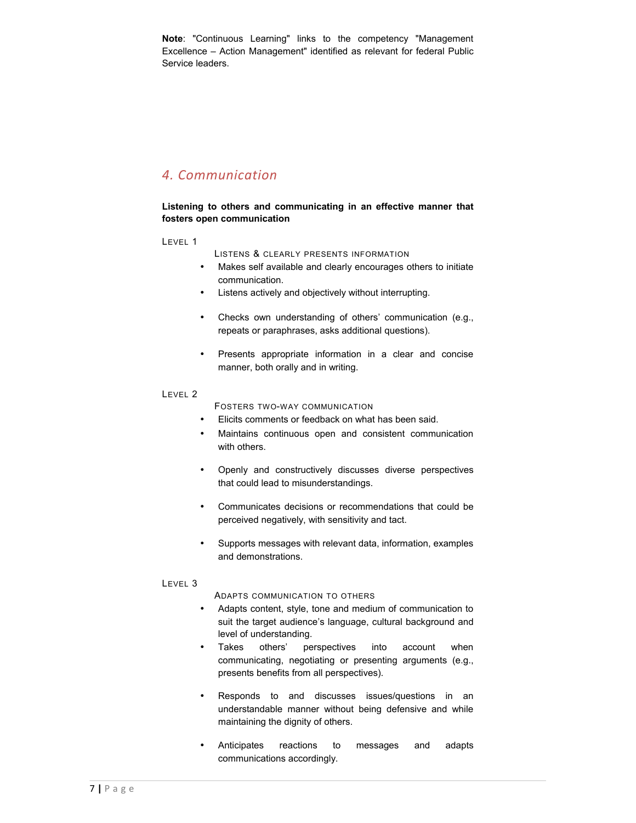**Note**: "Continuous Learning" links to the competency "Management Excellence – Action Management" identified as relevant for federal Public Service leaders.

# *4. Communication*

# **Listening to others and communicating in an effective manner that fosters open communication**

LEVEL 1

- LISTENS & CLEARLY PRESENTS INFORMATION
- Makes self available and clearly encourages others to initiate communication.
- Listens actively and objectively without interrupting.
- Checks own understanding of others' communication (e.g., repeats or paraphrases, asks additional questions).
- Presents appropriate information in a clear and concise manner, both orally and in writing.

### LEVEL 2

- FOSTERS TWO-WAY COMMUNICATION
- Elicits comments or feedback on what has been said.
- Maintains continuous open and consistent communication with others.
- Openly and constructively discusses diverse perspectives that could lead to misunderstandings.
- Communicates decisions or recommendations that could be perceived negatively, with sensitivity and tact.
- Supports messages with relevant data, information, examples and demonstrations.

# LEVEL 3

ADAPTS COMMUNICATION TO OTHERS

- Adapts content, style, tone and medium of communication to suit the target audience's language, cultural background and level of understanding.
- Takes others' perspectives into account when communicating, negotiating or presenting arguments (e.g., presents benefits from all perspectives).
- Responds to and discusses issues/questions in an understandable manner without being defensive and while maintaining the dignity of others.
- Anticipates reactions to messages and adapts communications accordingly.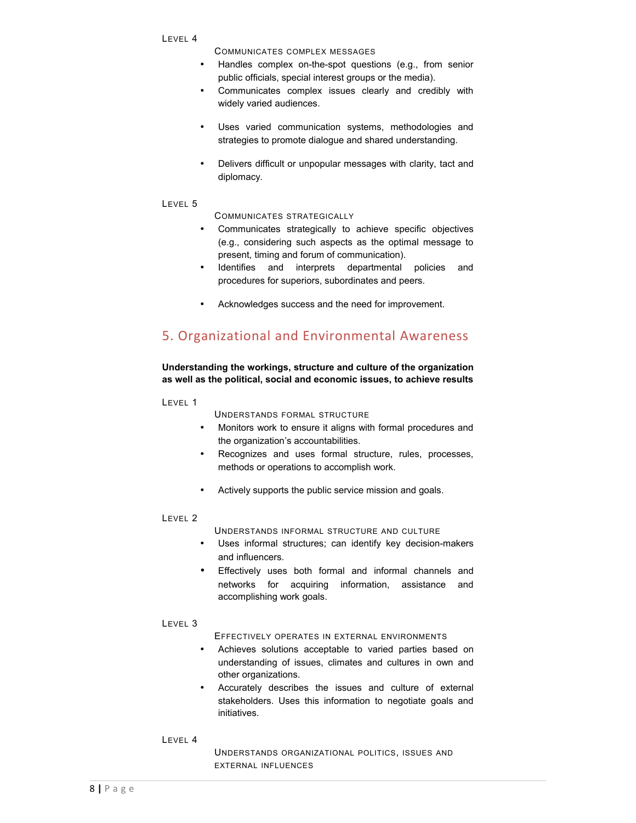COMMUNICATES COMPLEX MESSAGES

- Handles complex on-the-spot questions (e.g., from senior public officials, special interest groups or the media).
- Communicates complex issues clearly and credibly with widely varied audiences.
- Uses varied communication systems, methodologies and strategies to promote dialogue and shared understanding.
- Delivers difficult or unpopular messages with clarity, tact and diplomacy.

#### LEVEL 5

COMMUNICATES STRATEGICALLY

- Communicates strategically to achieve specific objectives (e.g., considering such aspects as the optimal message to present, timing and forum of communication).
- Identifies and interprets departmental policies and procedures for superiors, subordinates and peers.
- Acknowledges success and the need for improvement.

# 5. Organizational and Environmental Awareness

# **Understanding the workings, structure and culture of the organization as well as the political, social and economic issues, to achieve results**

LEVEL 1

UNDERSTANDS FORMAL STRUCTURE

- Monitors work to ensure it aligns with formal procedures and the organization's accountabilities.
- Recognizes and uses formal structure, rules, processes, methods or operations to accomplish work.
- Actively supports the public service mission and goals.

#### LEVEL 2

UNDERSTANDS INFORMAL STRUCTURE AND CULTURE

- Uses informal structures; can identify key decision-makers and influencers.
- Effectively uses both formal and informal channels and networks for acquiring information, assistance and accomplishing work goals.
- LEVEL 3

EFFECTIVELY OPERATES IN EXTERNAL ENVIRONMENTS

- Achieves solutions acceptable to varied parties based on understanding of issues, climates and cultures in own and other organizations.
- Accurately describes the issues and culture of external stakeholders. Uses this information to negotiate goals and initiatives.

LEVEL 4

UNDERSTANDS ORGANIZATIONAL POLITICS, ISSUES AND EXTERNAL INFLUENCES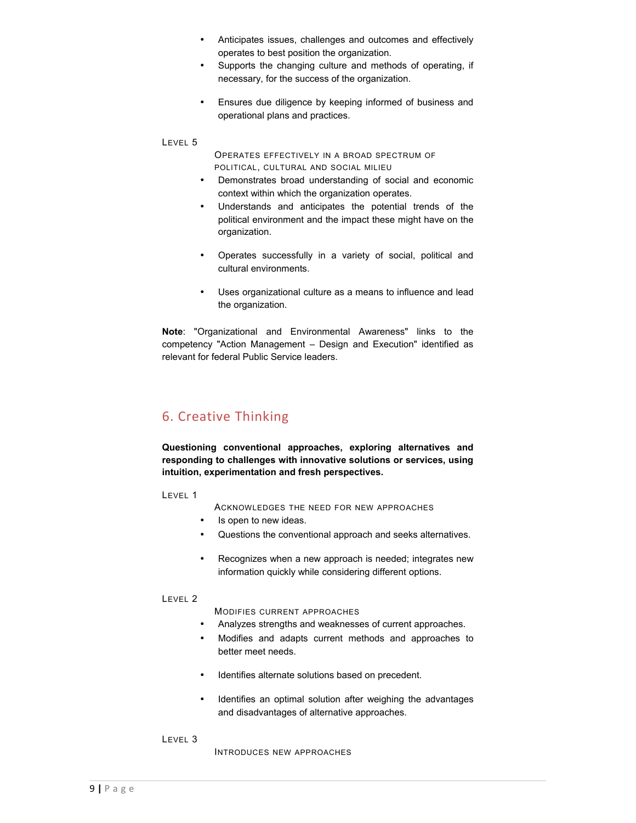- Anticipates issues, challenges and outcomes and effectively operates to best position the organization.
- Supports the changing culture and methods of operating, if necessary, for the success of the organization.
- Ensures due diligence by keeping informed of business and operational plans and practices.

OPERATES EFFECTIVELY IN A BROAD SPECTRUM OF POLITICAL, CULTURAL AND SOCIAL MILIEU

- Demonstrates broad understanding of social and economic context within which the organization operates.
- Understands and anticipates the potential trends of the political environment and the impact these might have on the organization.
- Operates successfully in a variety of social, political and cultural environments.
- Uses organizational culture as a means to influence and lead the organization.

**Note**: "Organizational and Environmental Awareness" links to the competency "Action Management – Design and Execution" identified as relevant for federal Public Service leaders.

# 6. Creative Thinking

**Questioning conventional approaches, exploring alternatives and responding to challenges with innovative solutions or services, using intuition, experimentation and fresh perspectives.**

LEVEL 1

ACKNOWLEDGES THE NEED FOR NEW APPROACHES

- Is open to new ideas.
- Questions the conventional approach and seeks alternatives.
- Recognizes when a new approach is needed; integrates new information quickly while considering different options.

#### LEVEL 2

MODIFIES CURRENT APPROACHES

- Analyzes strengths and weaknesses of current approaches.
- Modifies and adapts current methods and approaches to better meet needs.
- Identifies alternate solutions based on precedent.
- Identifies an optimal solution after weighing the advantages and disadvantages of alternative approaches.

LEVEL 3

INTRODUCES NEW APPROACHES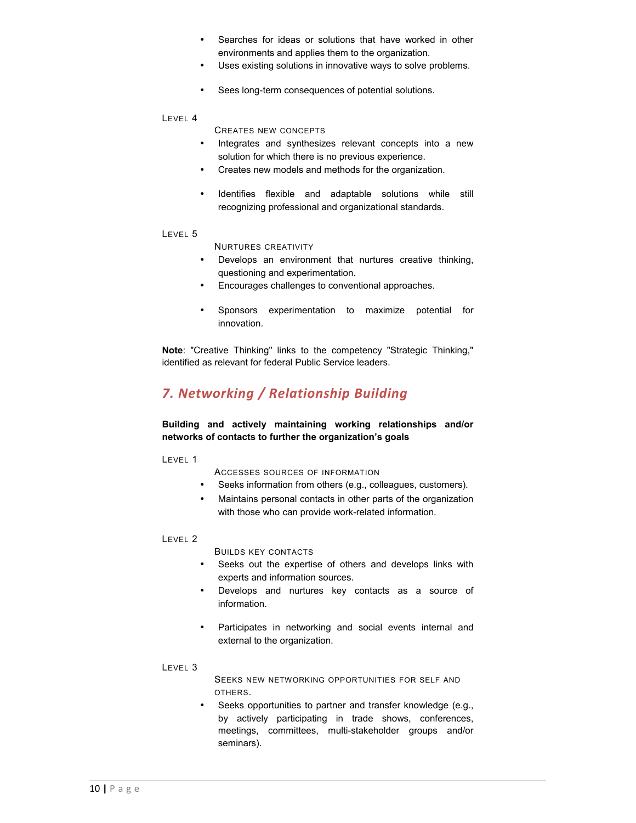- Searches for ideas or solutions that have worked in other environments and applies them to the organization.
- Uses existing solutions in innovative ways to solve problems.
- Sees long-term consequences of potential solutions.

CREATES NEW CONCEPTS

- Integrates and synthesizes relevant concepts into a new solution for which there is no previous experience.
- Creates new models and methods for the organization.
- Identifies flexible and adaptable solutions while still recognizing professional and organizational standards.

#### LEVEL 5

NURTURES CREATIVITY

- Develops an environment that nurtures creative thinking, questioning and experimentation.
- Encourages challenges to conventional approaches.
- Sponsors experimentation to maximize potential for innovation.

**Note**: "Creative Thinking" links to the competency "Strategic Thinking," identified as relevant for federal Public Service leaders.

# *7. Networking / Relationship Building*

# **Building and actively maintaining working relationships and/or networks of contacts to further the organization's goals**

LEVEL 1

ACCESSES SOURCES OF INFORMATION

- Seeks information from others (e.g., colleagues, customers).
- Maintains personal contacts in other parts of the organization with those who can provide work-related information.

#### LEVEL 2

BUILDS KEY CONTACTS

- Seeks out the expertise of others and develops links with experts and information sources.
- Develops and nurtures key contacts as a source of information.
- Participates in networking and social events internal and external to the organization.

#### LEVEL 3

SEEKS NEW NETWORKING OPPORTUNITIES FOR SELF AND OTHERS.

Seeks opportunities to partner and transfer knowledge (e.g., by actively participating in trade shows, conferences, meetings, committees, multi-stakeholder groups and/or seminars).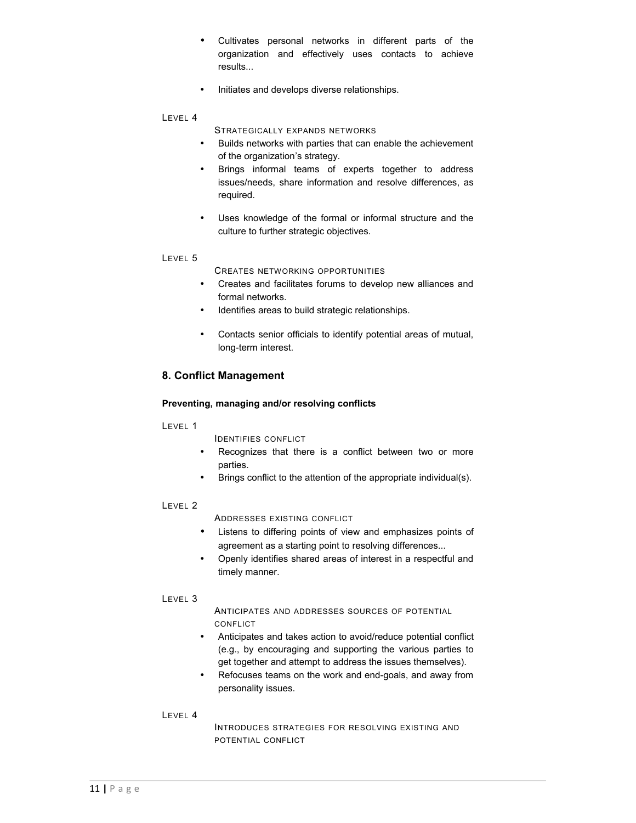- Cultivates personal networks in different parts of the organization and effectively uses contacts to achieve results...
- Initiates and develops diverse relationships.

STRATEGICALLY EXPANDS NETWORKS

- Builds networks with parties that can enable the achievement of the organization's strategy.
- Brings informal teams of experts together to address issues/needs, share information and resolve differences, as required.
- Uses knowledge of the formal or informal structure and the culture to further strategic objectives.

#### LEVEL 5

- CREATES NETWORKING OPPORTUNITIES
- Creates and facilitates forums to develop new alliances and formal networks.
- Identifies areas to build strategic relationships.
- Contacts senior officials to identify potential areas of mutual, long-term interest.

# **8. Conflict Management**

#### **Preventing, managing and/or resolving conflicts**

LEVEL 1

IDENTIFIES CONFLICT

- Recognizes that there is a conflict between two or more parties.
- Brings conflict to the attention of the appropriate individual(s).

# LEVEL 2

ADDRESSES EXISTING CONFLICT

- Listens to differing points of view and emphasizes points of agreement as a starting point to resolving differences...
- Openly identifies shared areas of interest in a respectful and timely manner.

#### LEVEL 3

ANTICIPATES AND ADDRESSES SOURCES OF POTENTIAL **CONFLICT** 

- Anticipates and takes action to avoid/reduce potential conflict (e.g., by encouraging and supporting the various parties to get together and attempt to address the issues themselves).
- Refocuses teams on the work and end-goals, and away from personality issues.

#### LEVEL 4

INTRODUCES STRATEGIES FOR RESOLVING EXISTING AND POTENTIAL CONFLICT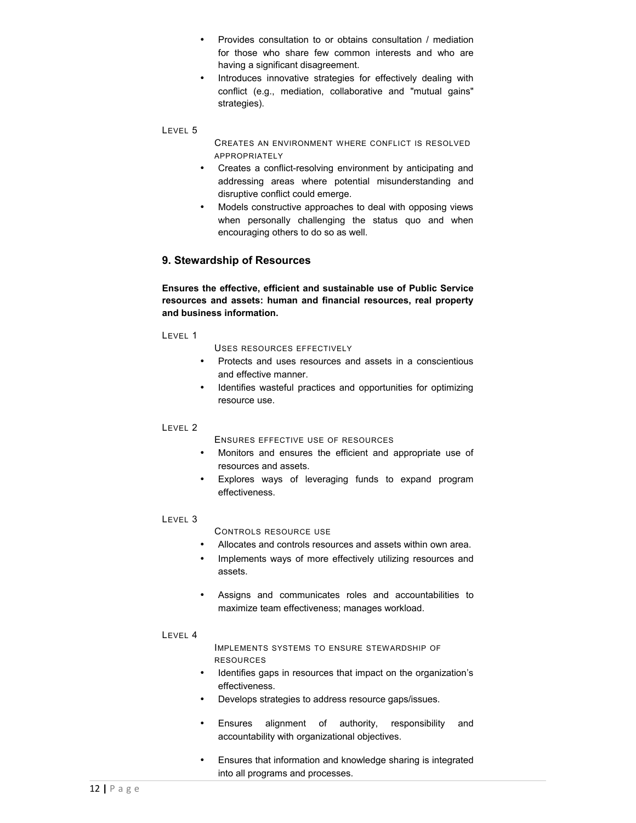- Provides consultation to or obtains consultation / mediation for those who share few common interests and who are having a significant disagreement.
- Introduces innovative strategies for effectively dealing with conflict (e.g., mediation, collaborative and "mutual gains" strategies).

CREATES AN ENVIRONMENT WHERE CONFLICT IS RESOLVED APPROPRIATELY

- Creates a conflict-resolving environment by anticipating and addressing areas where potential misunderstanding and disruptive conflict could emerge.
- Models constructive approaches to deal with opposing views when personally challenging the status quo and when encouraging others to do so as well.

# **9. Stewardship of Resources**

**Ensures the effective, efficient and sustainable use of Public Service resources and assets: human and financial resources, real property and business information.**

LEVEL 1

USES RESOURCES EFFECTIVELY

- Protects and uses resources and assets in a conscientious and effective manner.
- Identifies wasteful practices and opportunities for optimizing resource use.

#### LEVEL 2

ENSURES EFFECTIVE USE OF RESOURCES

- Monitors and ensures the efficient and appropriate use of resources and assets.
- Explores ways of leveraging funds to expand program effectiveness.

#### LEVEL 3

CONTROLS RESOURCE USE

- Allocates and controls resources and assets within own area.
- Implements ways of more effectively utilizing resources and assets.
- Assigns and communicates roles and accountabilities to maximize team effectiveness; manages workload.

#### LEVEL 4

IMPLEMENTS SYSTEMS TO ENSURE STEWARDSHIP OF RESOURCES

- Identifies gaps in resources that impact on the organization's effectiveness.
- Develops strategies to address resource gaps/issues.
- Ensures alignment of authority, responsibility and accountability with organizational objectives.
- Ensures that information and knowledge sharing is integrated into all programs and processes.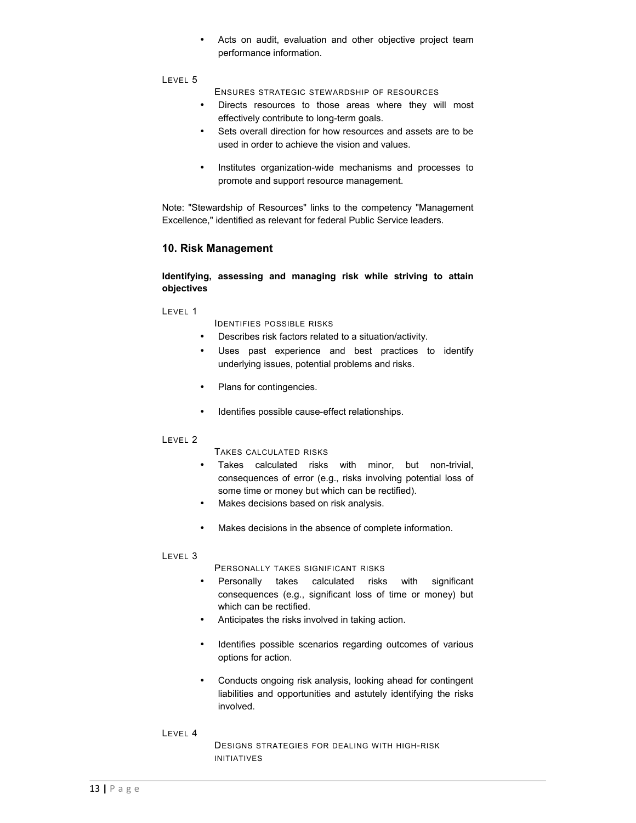• Acts on audit, evaluation and other objective project team performance information.

#### LEVEL 5

ENSURES STRATEGIC STEWARDSHIP OF RESOURCES

- Directs resources to those areas where they will most effectively contribute to long-term goals.
- Sets overall direction for how resources and assets are to be used in order to achieve the vision and values.
- Institutes organization-wide mechanisms and processes to promote and support resource management.

Note: "Stewardship of Resources" links to the competency "Management Excellence," identified as relevant for federal Public Service leaders.

# **10. Risk Management**

## **Identifying, assessing and managing risk while striving to attain objectives**

LEVEL 1

IDENTIFIES POSSIBLE RISKS

- Describes risk factors related to a situation/activity.
- Uses past experience and best practices to identify underlying issues, potential problems and risks.
- Plans for contingencies.
- Identifies possible cause-effect relationships.

#### LEVEL 2

TAKES CALCULATED RISKS

- Takes calculated risks with minor, but non-trivial, consequences of error (e.g., risks involving potential loss of some time or money but which can be rectified).
- Makes decisions based on risk analysis.
- Makes decisions in the absence of complete information.

#### LEVEL 3

PERSONALLY TAKES SIGNIFICANT RISKS

- Personally takes calculated risks with significant consequences (e.g., significant loss of time or money) but which can be rectified.
- Anticipates the risks involved in taking action.
- Identifies possible scenarios regarding outcomes of various options for action.
- Conducts ongoing risk analysis, looking ahead for contingent liabilities and opportunities and astutely identifying the risks involved.

#### LEVEL 4

DESIGNS STRATEGIES FOR DEALING WITH HIGH-RISK INITIATIVES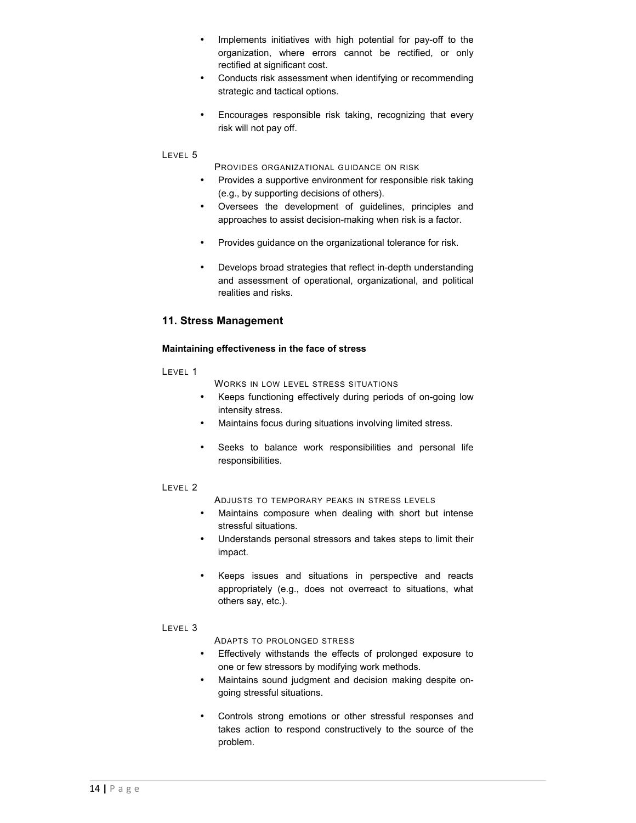- Implements initiatives with high potential for pay-off to the organization, where errors cannot be rectified, or only rectified at significant cost.
- Conducts risk assessment when identifying or recommending strategic and tactical options.
- Encourages responsible risk taking, recognizing that every risk will not pay off.

- PROVIDES ORGANIZATIONAL GUIDANCE ON RISK
- Provides a supportive environment for responsible risk taking (e.g., by supporting decisions of others).
- Oversees the development of guidelines, principles and approaches to assist decision-making when risk is a factor.
- Provides guidance on the organizational tolerance for risk.
- Develops broad strategies that reflect in-depth understanding and assessment of operational, organizational, and political realities and risks.

# **11. Stress Management**

#### **Maintaining effectiveness in the face of stress**

#### LEVEL 1

WORKS IN LOW LEVEL STRESS SITUATIONS

- Keeps functioning effectively during periods of on-going low intensity stress.
- Maintains focus during situations involving limited stress.
- Seeks to balance work responsibilities and personal life responsibilities.

# LEVEL 2

ADJUSTS TO TEMPORARY PEAKS IN STRESS LEVELS

- Maintains composure when dealing with short but intense stressful situations.
- Understands personal stressors and takes steps to limit their impact.
- Keeps issues and situations in perspective and reacts appropriately (e.g., does not overreact to situations, what others say, etc.).

# LEVEL 3

ADAPTS TO PROLONGED STRESS

- Effectively withstands the effects of prolonged exposure to one or few stressors by modifying work methods.
- Maintains sound judgment and decision making despite ongoing stressful situations.
- Controls strong emotions or other stressful responses and takes action to respond constructively to the source of the problem.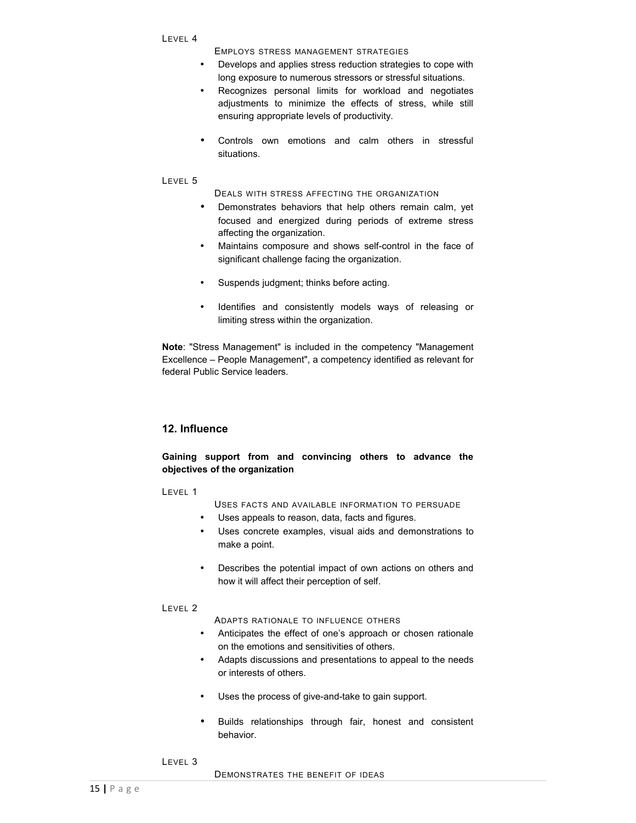EMPLOYS STRESS MANAGEMENT STRATEGIES

- Develops and applies stress reduction strategies to cope with long exposure to numerous stressors or stressful situations.
- Recognizes personal limits for workload and negotiates adjustments to minimize the effects of stress, while still ensuring appropriate levels of productivity.
- Controls own emotions and calm others in stressful situations.

#### LEVEL 5

DEALS WITH STRESS AFFECTING THE ORGANIZATION

- Demonstrates behaviors that help others remain calm, yet focused and energized during periods of extreme stress affecting the organization.
- Maintains composure and shows self-control in the face of significant challenge facing the organization.
- Suspends judgment; thinks before acting.
- Identifies and consistently models ways of releasing or limiting stress within the organization.

**Note**: "Stress Management" is included in the competency "Management Excellence – People Management", a competency identified as relevant for federal Public Service leaders.

# **12. Influence**

# **Gaining support from and convincing others to advance the objectives of the organization**

#### LEVEL 1

- USES FACTS AND AVAILABLE INFORMATION TO PERSUADE
- Uses appeals to reason, data, facts and figures.
- Uses concrete examples, visual aids and demonstrations to make a point.
- Describes the potential impact of own actions on others and how it will affect their perception of self.

#### LEVEL 2

ADAPTS RATIONALE TO INFLUENCE OTHERS

- Anticipates the effect of one's approach or chosen rationale on the emotions and sensitivities of others.
- Adapts discussions and presentations to appeal to the needs or interests of others.
- Uses the process of give-and-take to gain support.
- Builds relationships through fair, honest and consistent behavior.
- LEVEL 3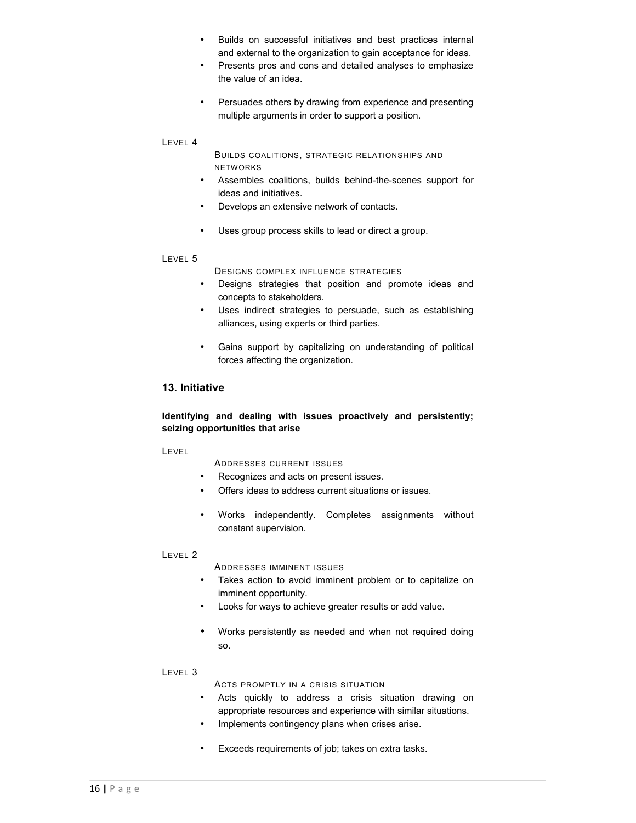- Builds on successful initiatives and best practices internal and external to the organization to gain acceptance for ideas.
- Presents pros and cons and detailed analyses to emphasize the value of an idea.
- Persuades others by drawing from experience and presenting multiple arguments in order to support a position.

BUILDS COALITIONS, STRATEGIC RELATIONSHIPS AND NETWORKS

- Assembles coalitions, builds behind-the-scenes support for ideas and initiatives.
- Develops an extensive network of contacts.
- Uses group process skills to lead or direct a group.

#### LEVEL 5

DESIGNS COMPLEX INFLUENCE STRATEGIES

- Designs strategies that position and promote ideas and concepts to stakeholders.
- Uses indirect strategies to persuade, such as establishing alliances, using experts or third parties.
- Gains support by capitalizing on understanding of political forces affecting the organization.

# **13. Initiative**

# **Identifying and dealing with issues proactively and persistently; seizing opportunities that arise**

#### LEVEL

ADDRESSES CURRENT ISSUES

- Recognizes and acts on present issues.
- Offers ideas to address current situations or issues.
- Works independently. Completes assignments without constant supervision.

#### LEVEL 2

ADDRESSES IMMINENT ISSUES

- Takes action to avoid imminent problem or to capitalize on imminent opportunity.
- Looks for ways to achieve greater results or add value.
- Works persistently as needed and when not required doing so.

#### LEVEL 3

ACTS PROMPTLY IN A CRISIS SITUATION

- Acts quickly to address a crisis situation drawing on appropriate resources and experience with similar situations.
- Implements contingency plans when crises arise.
- Exceeds requirements of job; takes on extra tasks.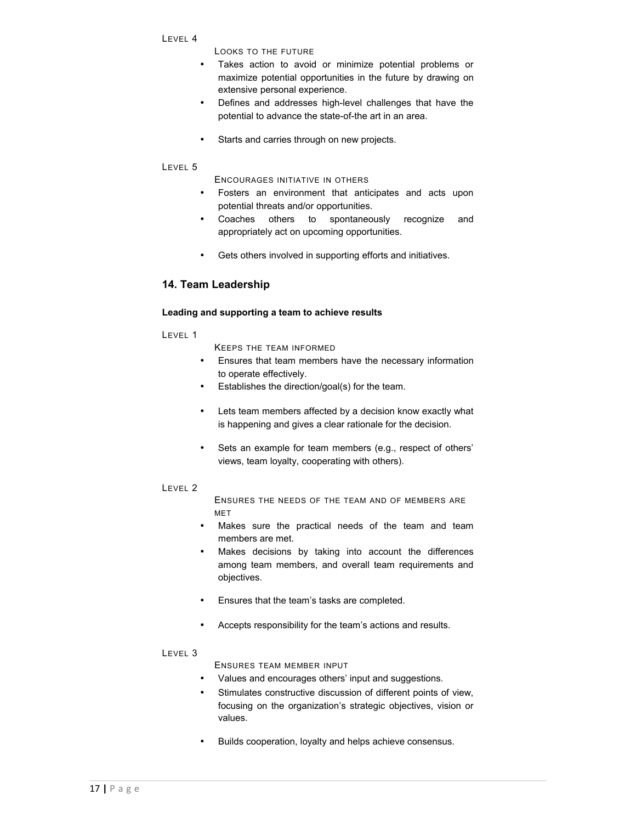- LEVEL 4
- LOOKS TO THE FUTURE
- Takes action to avoid or minimize potential problems or maximize potential opportunities in the future by drawing on extensive personal experience.
- Defines and addresses high-level challenges that have the potential to advance the state-of-the art in an area.
- Starts and carries through on new projects.

ENCOURAGES INITIATIVE IN OTHERS

- Fosters an environment that anticipates and acts upon potential threats and/or opportunities.
- Coaches others to spontaneously recognize and appropriately act on upcoming opportunities.
- Gets others involved in supporting efforts and initiatives.

# **14. Team Leadership**

#### **Leading and supporting a team to achieve results**

LEVEL 1

KEEPS THE TEAM INFORMED

- Ensures that team members have the necessary information to operate effectively.
- Establishes the direction/goal(s) for the team.
- Lets team members affected by a decision know exactly what is happening and gives a clear rationale for the decision.
- Sets an example for team members (e.g., respect of others' views, team loyalty, cooperating with others).

#### LEVEL 2

ENSURES THE NEEDS OF THE TEAM AND OF MEMBERS ARE MET

- Makes sure the practical needs of the team and team members are met.
- Makes decisions by taking into account the differences among team members, and overall team requirements and objectives.
- Ensures that the team's tasks are completed.
- Accepts responsibility for the team's actions and results.

## LEVEL 3

ENSURES TEAM MEMBER INPUT

- Values and encourages others' input and suggestions.
- Stimulates constructive discussion of different points of view, focusing on the organization's strategic objectives, vision or values.
- Builds cooperation, loyalty and helps achieve consensus.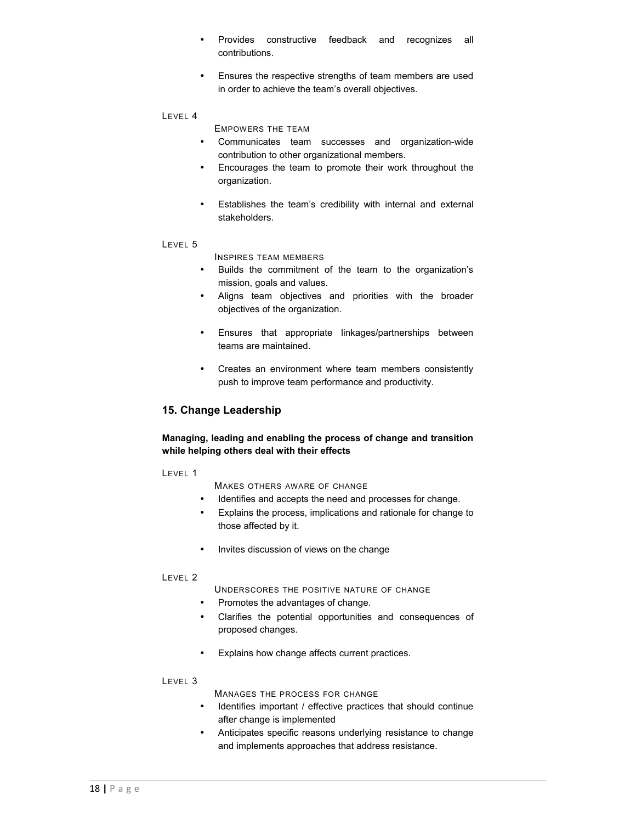- Provides constructive feedback and recognizes all contributions.
- Ensures the respective strengths of team members are used in order to achieve the team's overall objectives.

EMPOWERS THE TEAM

- Communicates team successes and organization-wide contribution to other organizational members.
- Encourages the team to promote their work throughout the organization.
- Establishes the team's credibility with internal and external stakeholders.

#### LEVEL 5

INSPIRES TEAM MEMBERS

- Builds the commitment of the team to the organization's mission, goals and values.
- Aligns team objectives and priorities with the broader objectives of the organization.
- Ensures that appropriate linkages/partnerships between teams are maintained.
- Creates an environment where team members consistently push to improve team performance and productivity.

# **15. Change Leadership**

#### **Managing, leading and enabling the process of change and transition while helping others deal with their effects**

LEVEL 1

MAKES OTHERS AWARE OF CHANGE

- Identifies and accepts the need and processes for change.
- Explains the process, implications and rationale for change to those affected by it.
- Invites discussion of views on the change

#### LEVEL 2

UNDERSCORES THE POSITIVE NATURE OF CHANGE

- Promotes the advantages of change.
- Clarifies the potential opportunities and consequences of proposed changes.
- Explains how change affects current practices.

#### LEVEL 3

MANAGES THE PROCESS FOR CHANGE

- Identifies important / effective practices that should continue after change is implemented
- Anticipates specific reasons underlying resistance to change and implements approaches that address resistance.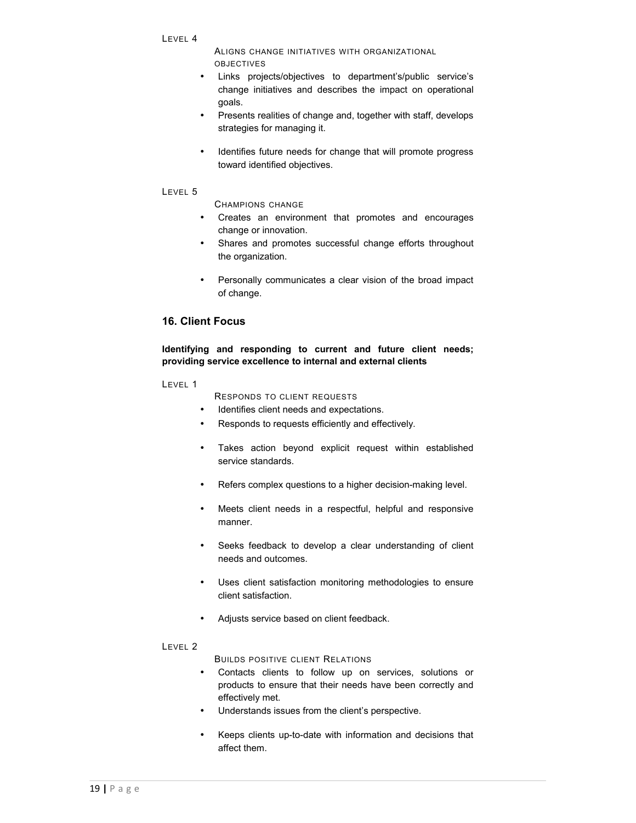ALIGNS CHANGE INITIATIVES WITH ORGANIZATIONAL OBJECTIVES

- Links projects/objectives to department's/public service's change initiatives and describes the impact on operational goals.
- Presents realities of change and, together with staff, develops strategies for managing it.
- Identifies future needs for change that will promote progress toward identified objectives.

#### LEVEL 5

CHAMPIONS CHANGE

- Creates an environment that promotes and encourages change or innovation.
- Shares and promotes successful change efforts throughout the organization.
- Personally communicates a clear vision of the broad impact of change.

# **16. Client Focus**

**Identifying and responding to current and future client needs; providing service excellence to internal and external clients**

LEVEL 1

RESPONDS TO CLIENT REQUESTS

- Identifies client needs and expectations.
- Responds to requests efficiently and effectively.
- Takes action beyond explicit request within established service standards.
- Refers complex questions to a higher decision-making level.
- Meets client needs in a respectful, helpful and responsive manner.
- Seeks feedback to develop a clear understanding of client needs and outcomes.
- Uses client satisfaction monitoring methodologies to ensure client satisfaction.
- Adjusts service based on client feedback.

#### LEVEL 2

BUILDS POSITIVE CLIENT RELATIONS

- Contacts clients to follow up on services, solutions or products to ensure that their needs have been correctly and effectively met.
- Understands issues from the client's perspective.
- Keeps clients up-to-date with information and decisions that affect them.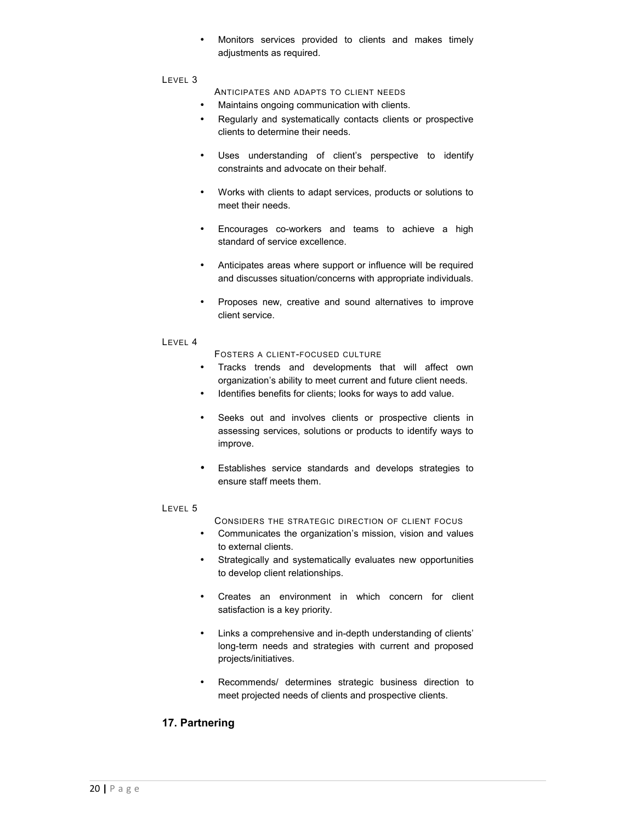• Monitors services provided to clients and makes timely adjustments as required.

#### LEVEL 3

ANTICIPATES AND ADAPTS TO CLIENT NEEDS

- Maintains ongoing communication with clients.
- Regularly and systematically contacts clients or prospective clients to determine their needs.
- Uses understanding of client's perspective to identify constraints and advocate on their behalf.
- Works with clients to adapt services, products or solutions to meet their needs.
- Encourages co-workers and teams to achieve a high standard of service excellence.
- Anticipates areas where support or influence will be required and discusses situation/concerns with appropriate individuals.
- Proposes new, creative and sound alternatives to improve client service.

#### LEVEL 4

FOSTERS A CLIENT-FOCUSED CULTURE

- Tracks trends and developments that will affect own organization's ability to meet current and future client needs.
- Identifies benefits for clients; looks for ways to add value.
- Seeks out and involves clients or prospective clients in assessing services, solutions or products to identify ways to improve.
- Establishes service standards and develops strategies to ensure staff meets them.

#### LEVEL 5

CONSIDERS THE STRATEGIC DIRECTION OF CLIENT FOCUS

- Communicates the organization's mission, vision and values to external clients.
- Strategically and systematically evaluates new opportunities to develop client relationships.
- Creates an environment in which concern for client satisfaction is a key priority.
- Links a comprehensive and in-depth understanding of clients' long-term needs and strategies with current and proposed projects/initiatives.
- Recommends/ determines strategic business direction to meet projected needs of clients and prospective clients.

# **17. Partnering**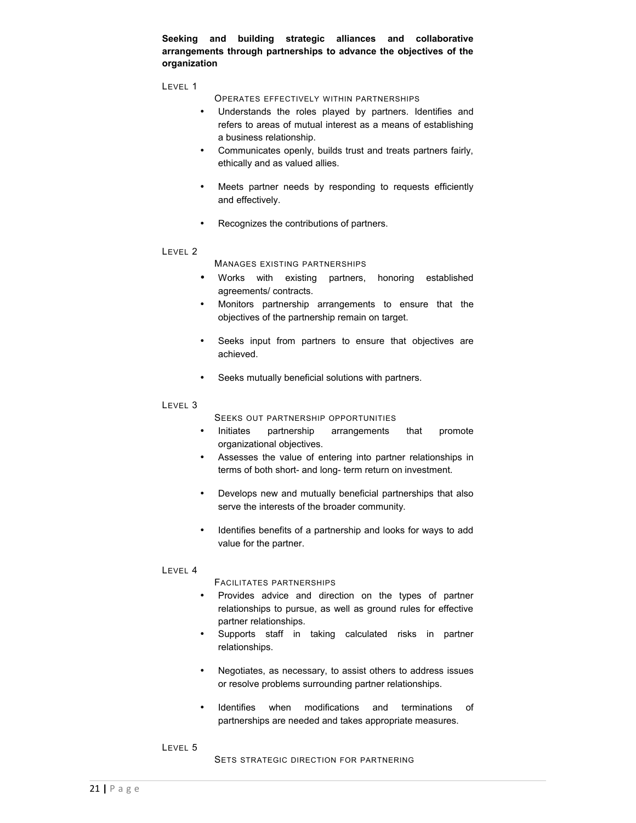**Seeking and building strategic alliances and collaborative arrangements through partnerships to advance the objectives of the organization**

LEVEL 1

OPERATES EFFECTIVELY WITHIN PARTNERSHIPS

- Understands the roles played by partners. Identifies and refers to areas of mutual interest as a means of establishing a business relationship.
- Communicates openly, builds trust and treats partners fairly, ethically and as valued allies.
- Meets partner needs by responding to requests efficiently and effectively.
- Recognizes the contributions of partners.

#### LEVEL 2

MANAGES EXISTING PARTNERSHIPS

- Works with existing partners, honoring established agreements/ contracts.
- Monitors partnership arrangements to ensure that the objectives of the partnership remain on target.
- Seeks input from partners to ensure that objectives are achieved.
- Seeks mutually beneficial solutions with partners.

#### LEVEL 3

SEEKS OUT PARTNERSHIP OPPORTUNITIES

- Initiates partnership arrangements that promote organizational objectives.
- Assesses the value of entering into partner relationships in terms of both short- and long- term return on investment.
- Develops new and mutually beneficial partnerships that also serve the interests of the broader community.
- Identifies benefits of a partnership and looks for ways to add value for the partner.

# LEVEL 4

FACILITATES PARTNERSHIPS

- Provides advice and direction on the types of partner relationships to pursue, as well as ground rules for effective partner relationships.
- Supports staff in taking calculated risks in partner relationships.
- Negotiates, as necessary, to assist others to address issues or resolve problems surrounding partner relationships.
- Identifies when modifications and terminations of partnerships are needed and takes appropriate measures.

#### LEVEL 5

SETS STRATEGIC DIRECTION FOR PARTNERING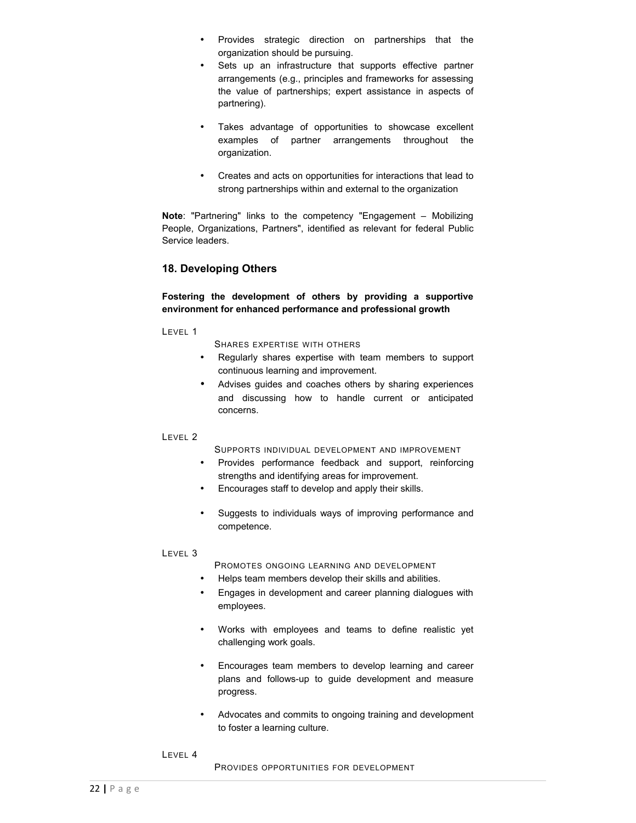- Provides strategic direction on partnerships that the organization should be pursuing.
- Sets up an infrastructure that supports effective partner arrangements (e.g., principles and frameworks for assessing the value of partnerships; expert assistance in aspects of partnering).
- Takes advantage of opportunities to showcase excellent examples of partner arrangements throughout the organization.
- Creates and acts on opportunities for interactions that lead to strong partnerships within and external to the organization

**Note**: "Partnering" links to the competency "Engagement – Mobilizing People, Organizations, Partners", identified as relevant for federal Public Service leaders.

# **18. Developing Others**

## **Fostering the development of others by providing a supportive environment for enhanced performance and professional growth**

LEVEL 1

SHARES EXPERTISE WITH OTHERS

- Regularly shares expertise with team members to support continuous learning and improvement.
- Advises guides and coaches others by sharing experiences and discussing how to handle current or anticipated concerns.

# LEVEL 2

SUPPORTS INDIVIDUAL DEVELOPMENT AND IMPROVEMENT

- Provides performance feedback and support, reinforcing strengths and identifying areas for improvement.
- Encourages staff to develop and apply their skills.
- Suggests to individuals ways of improving performance and competence.

LEVEL 3

PROMOTES ONGOING LEARNING AND DEVELOPMENT

- Helps team members develop their skills and abilities.
- Engages in development and career planning dialogues with employees.
- Works with employees and teams to define realistic yet challenging work goals.
- Encourages team members to develop learning and career plans and follows-up to guide development and measure progress.
- Advocates and commits to ongoing training and development to foster a learning culture.
- LEVEL 4

PROVIDES OPPORTUNITIES FOR DEVELOPMENT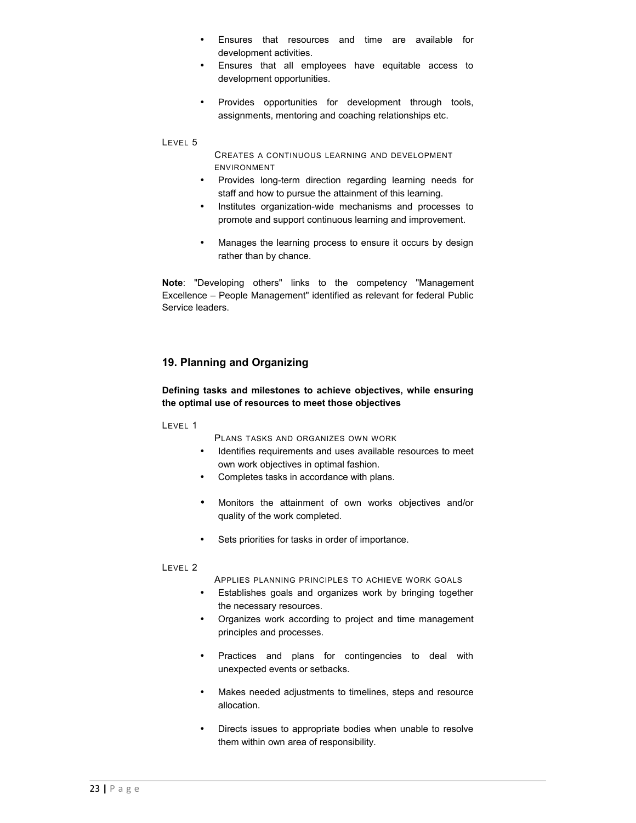- Ensures that resources and time are available for development activities.
- Ensures that all employees have equitable access to development opportunities.
- Provides opportunities for development through tools, assignments, mentoring and coaching relationships etc.

CREATES A CONTINUOUS LEARNING AND DEVELOPMENT ENVIRONMENT

- Provides long-term direction regarding learning needs for staff and how to pursue the attainment of this learning.
- Institutes organization-wide mechanisms and processes to promote and support continuous learning and improvement.
- Manages the learning process to ensure it occurs by design rather than by chance.

**Note**: "Developing others" links to the competency "Management Excellence – People Management" identified as relevant for federal Public Service leaders.

# **19. Planning and Organizing**

# **Defining tasks and milestones to achieve objectives, while ensuring the optimal use of resources to meet those objectives**

LEVEL 1

PLANS TASKS AND ORGANIZES OWN WORK

- Identifies requirements and uses available resources to meet own work objectives in optimal fashion.
- Completes tasks in accordance with plans.
- Monitors the attainment of own works objectives and/or quality of the work completed.
- Sets priorities for tasks in order of importance.

#### LEVEL 2

APPLIES PLANNING PRINCIPLES TO ACHIEVE WORK GOALS

- Establishes goals and organizes work by bringing together the necessary resources.
- Organizes work according to project and time management principles and processes.
- Practices and plans for contingencies to deal with unexpected events or setbacks.
- Makes needed adjustments to timelines, steps and resource allocation.
- Directs issues to appropriate bodies when unable to resolve them within own area of responsibility.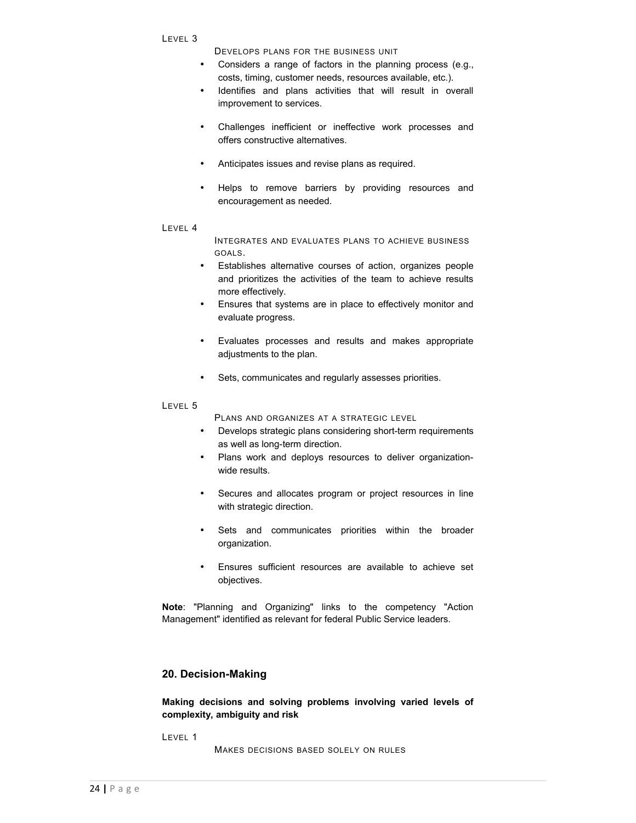DEVELOPS PLANS FOR THE BUSINESS UNIT

- Considers a range of factors in the planning process (e.g., costs, timing, customer needs, resources available, etc.).
- Identifies and plans activities that will result in overall improvement to services.
- Challenges inefficient or ineffective work processes and offers constructive alternatives.
- Anticipates issues and revise plans as required.
- Helps to remove barriers by providing resources and encouragement as needed.
- LEVEL 4

INTEGRATES AND EVALUATES PLANS TO ACHIEVE BUSINESS GOALS.

- Establishes alternative courses of action, organizes people and prioritizes the activities of the team to achieve results more effectively.
- Ensures that systems are in place to effectively monitor and evaluate progress.
- Evaluates processes and results and makes appropriate adjustments to the plan.
- Sets, communicates and regularly assesses priorities.

#### LEVEL 5

PLANS AND ORGANIZES AT A STRATEGIC LEVEL

- Develops strategic plans considering short-term requirements as well as long-term direction.
- Plans work and deploys resources to deliver organizationwide results.
- Secures and allocates program or project resources in line with strategic direction.
- Sets and communicates priorities within the broader organization.
- Ensures sufficient resources are available to achieve set objectives.

**Note**: "Planning and Organizing" links to the competency "Action Management" identified as relevant for federal Public Service leaders.

# **20. Decision-Making**

**Making decisions and solving problems involving varied levels of complexity, ambiguity and risk**

LEVEL 1

MAKES DECISIONS BASED SOLELY ON RULES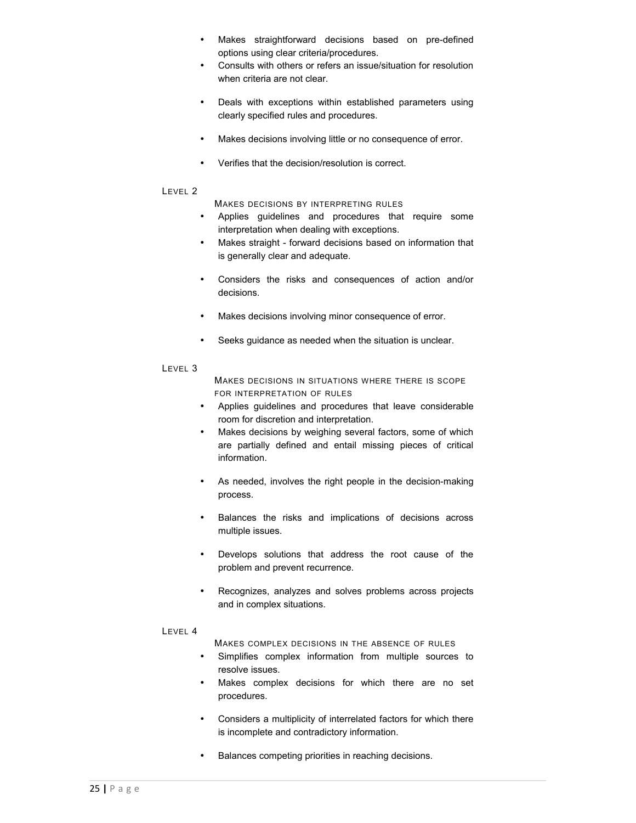- Makes straightforward decisions based on pre-defined options using clear criteria/procedures.
- Consults with others or refers an issue/situation for resolution when criteria are not clear.
- Deals with exceptions within established parameters using clearly specified rules and procedures.
- Makes decisions involving little or no consequence of error.
- Verifies that the decision/resolution is correct.

MAKES DECISIONS BY INTERPRETING RULES

- Applies guidelines and procedures that require some interpretation when dealing with exceptions.
- Makes straight forward decisions based on information that is generally clear and adequate.
- Considers the risks and consequences of action and/or decisions.
- Makes decisions involving minor consequence of error.
- Seeks guidance as needed when the situation is unclear.

#### LEVEL 3

MAKES DECISIONS IN SITUATIONS WHERE THERE IS SCOPE FOR INTERPRETATION OF RULES

- Applies guidelines and procedures that leave considerable room for discretion and interpretation.
- Makes decisions by weighing several factors, some of which are partially defined and entail missing pieces of critical information.
- As needed, involves the right people in the decision-making process.
- Balances the risks and implications of decisions across multiple issues.
- Develops solutions that address the root cause of the problem and prevent recurrence.
- Recognizes, analyzes and solves problems across projects and in complex situations.

#### LEVEL 4

MAKES COMPLEX DECISIONS IN THE ABSENCE OF RULES

- Simplifies complex information from multiple sources to resolve issues.
- Makes complex decisions for which there are no set procedures.
- Considers a multiplicity of interrelated factors for which there is incomplete and contradictory information.
- Balances competing priorities in reaching decisions.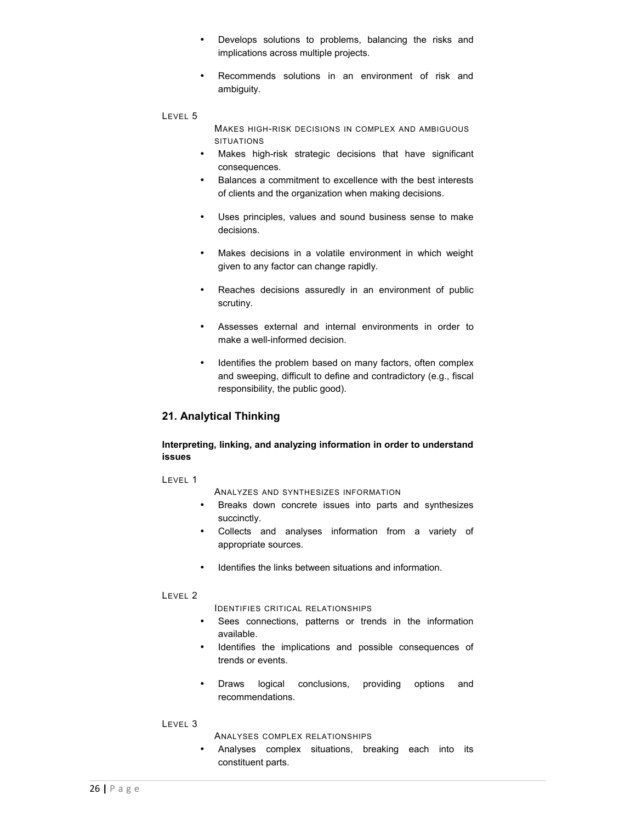- Develops solutions to problems, balancing the risks and implications across multiple projects.
- Recommends solutions in an environment of risk and ambiguity.

MAKES HIGH-RISK DECISIONS IN COMPLEX AND AMBIGUOUS SITUATIONS

- Makes high-risk strategic decisions that have significant consequences.
- Balances a commitment to excellence with the best interests of clients and the organization when making decisions.
- Uses principles, values and sound business sense to make decisions.
- Makes decisions in a volatile environment in which weight given to any factor can change rapidly.
- Reaches decisions assuredly in an environment of public scrutiny.
- Assesses external and internal environments in order to make a well-informed decision.
- Identifies the problem based on many factors, often complex and sweeping, difficult to define and contradictory (e.g., fiscal responsibility, the public good).

# **21. Analytical Thinking**

**Interpreting, linking, and analyzing information in order to understand issues**

#### LEVEL 1

ANALYZES AND SYNTHESIZES INFORMATION

- Breaks down concrete issues into parts and synthesizes succinctly.
- Collects and analyses information from a variety of appropriate sources.
- Identifies the links between situations and information.

#### LEVEL 2

IDENTIFIES CRITICAL RELATIONSHIPS

- Sees connections, patterns or trends in the information available.
- Identifies the implications and possible consequences of trends or events.
- Draws logical conclusions, providing options and recommendations.

#### LEVEL 3

ANALYSES COMPLEX RELATIONSHIPS

• Analyses complex situations, breaking each into its constituent parts.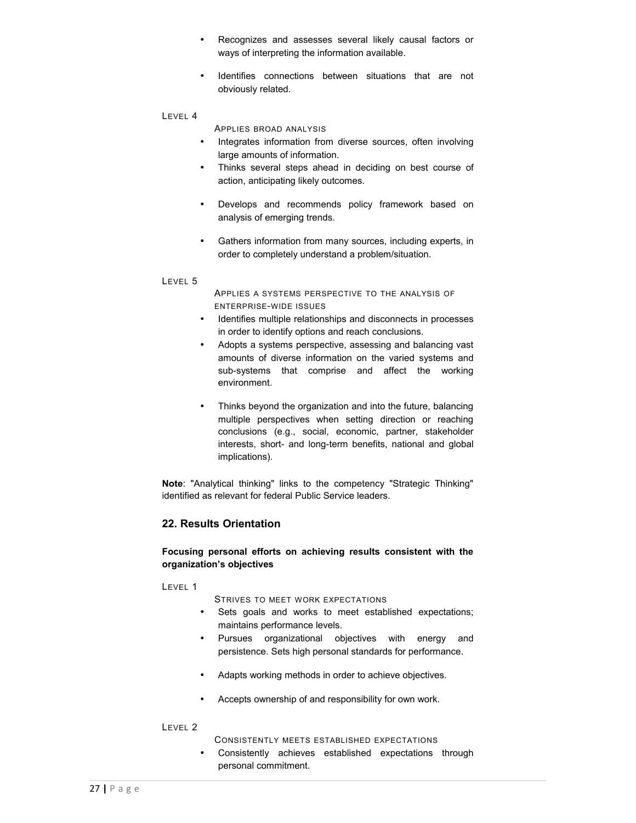- Recognizes and assesses several likely causal factors or ways of interpreting the information available.
- Identifies connections between situations that are not obviously related.

APPLIES BROAD ANALYSIS

- Integrates information from diverse sources, often involving large amounts of information.
- Thinks several steps ahead in deciding on best course of action, anticipating likely outcomes.
- Develops and recommends policy framework based on analysis of emerging trends.
- Gathers information from many sources, including experts, in order to completely understand a problem/situation.

#### LEVEL 5

APPLIES A SYSTEMS PERSPECTIVE TO THE ANALYSIS OF ENTERPRISE-WIDE ISSUES

- Identifies multiple relationships and disconnects in processes in order to identify options and reach conclusions.
- Adopts a systems perspective, assessing and balancing vast amounts of diverse information on the varied systems and sub-systems that comprise and affect the working environment.
- Thinks beyond the organization and into the future, balancing multiple perspectives when setting direction or reaching conclusions (e.g., social, economic, partner, stakeholder interests, short- and long-term benefits, national and global implications).

**Note**: "Analytical thinking" links to the competency "Strategic Thinking" identified as relevant for federal Public Service leaders.

# **22. Results Orientation**

# **Focusing personal efforts on achieving results consistent with the organization's objectives**

#### LEVEL 1

STRIVES TO MEET WORK EXPECTATIONS

- Sets goals and works to meet established expectations; maintains performance levels.
- Pursues organizational objectives with energy and persistence. Sets high personal standards for performance.
- Adapts working methods in order to achieve objectives.
- Accepts ownership of and responsibility for own work.

#### LEVEL 2

CONSISTENTLY MEETS ESTABLISHED EXPECTATIONS

• Consistently achieves established expectations through personal commitment.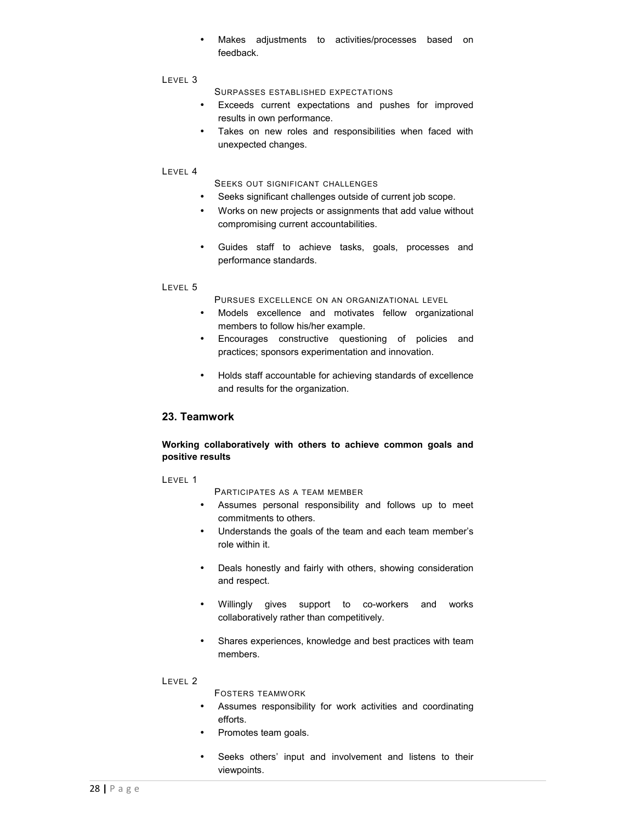• Makes adjustments to activities/processes based on feedback.

#### LEVEL 3

SURPASSES ESTABLISHED EXPECTATIONS

- Exceeds current expectations and pushes for improved results in own performance.
- Takes on new roles and responsibilities when faced with unexpected changes.

#### LEVEL 4

SEEKS OUT SIGNIFICANT CHALLENGES

- Seeks significant challenges outside of current job scope.
- Works on new projects or assignments that add value without compromising current accountabilities.
- Guides staff to achieve tasks, goals, processes and performance standards.

#### LEVEL 5

PURSUES EXCELLENCE ON AN ORGANIZATIONAL LEVEL

- Models excellence and motivates fellow organizational members to follow his/her example.
- Encourages constructive questioning of policies and practices; sponsors experimentation and innovation.
- Holds staff accountable for achieving standards of excellence and results for the organization.

# **23. Teamwork**

# **Working collaboratively with others to achieve common goals and positive results**

#### LEVEL 1

PARTICIPATES AS A TEAM MEMBER

- Assumes personal responsibility and follows up to meet commitments to others.
- Understands the goals of the team and each team member's role within it.
- Deals honestly and fairly with others, showing consideration and respect.
- Willingly gives support to co-workers and works collaboratively rather than competitively.
- Shares experiences, knowledge and best practices with team members.

#### LEVEL 2

FOSTERS TEAMWORK

- Assumes responsibility for work activities and coordinating efforts.
- Promotes team goals.
- Seeks others' input and involvement and listens to their viewpoints.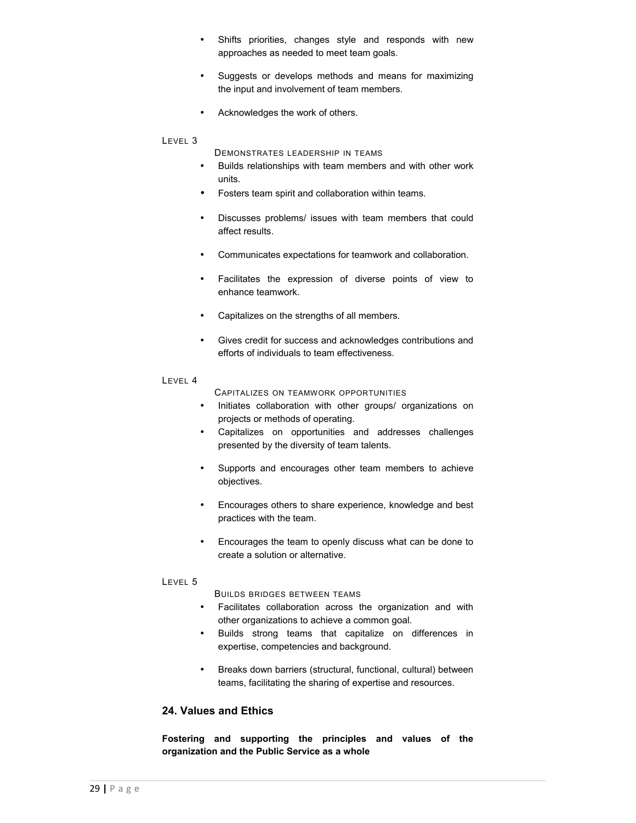- Shifts priorities, changes style and responds with new approaches as needed to meet team goals.
- Suggests or develops methods and means for maximizing the input and involvement of team members.
- Acknowledges the work of others.

DEMONSTRATES LEADERSHIP IN TEAMS

- Builds relationships with team members and with other work units.
- Fosters team spirit and collaboration within teams.
- Discusses problems/ issues with team members that could affect results.
- Communicates expectations for teamwork and collaboration.
- Facilitates the expression of diverse points of view to enhance teamwork.
- Capitalizes on the strengths of all members.
- Gives credit for success and acknowledges contributions and efforts of individuals to team effectiveness.
- LEVEL 4

CAPITALIZES ON TEAMWORK OPPORTUNITIES

- Initiates collaboration with other groups/ organizations on projects or methods of operating.
- Capitalizes on opportunities and addresses challenges presented by the diversity of team talents.
- Supports and encourages other team members to achieve objectives.
- Encourages others to share experience, knowledge and best practices with the team.
- Encourages the team to openly discuss what can be done to create a solution or alternative.

#### LEVEL 5

BUILDS BRIDGES BETWEEN TEAMS

- Facilitates collaboration across the organization and with other organizations to achieve a common goal.
- Builds strong teams that capitalize on differences in expertise, competencies and background.
- Breaks down barriers (structural, functional, cultural) between teams, facilitating the sharing of expertise and resources.

# **24. Values and Ethics**

**Fostering and supporting the principles and values of the organization and the Public Service as a whole**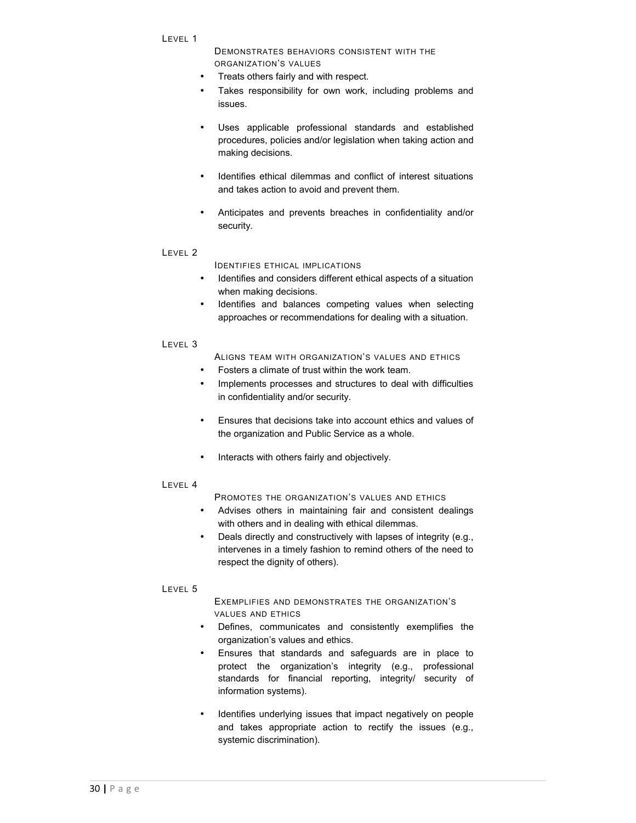DEMONSTRATES BEHAVIORS CONSISTENT WITH THE ORGANIZATION'S VALUES

- Treats others fairly and with respect.
- Takes responsibility for own work, including problems and issues.
- Uses applicable professional standards and established procedures, policies and/or legislation when taking action and making decisions.
- Identifies ethical dilemmas and conflict of interest situations and takes action to avoid and prevent them.
- Anticipates and prevents breaches in confidentiality and/or security.

#### LEVEL 2

#### IDENTIFIES ETHICAL IMPLICATIONS

- Identifies and considers different ethical aspects of a situation when making decisions.
- Identifies and balances competing values when selecting approaches or recommendations for dealing with a situation.

#### LEVEL 3

- ALIGNS TEAM WITH ORGANIZATION'S VALUES AND ETHICS
- Fosters a climate of trust within the work team.
- Implements processes and structures to deal with difficulties in confidentiality and/or security.
- Ensures that decisions take into account ethics and values of the organization and Public Service as a whole.
- Interacts with others fairly and objectively.

# LEVEL 4

PROMOTES THE ORGANIZATION'S VALUES AND ETHICS

- Advises others in maintaining fair and consistent dealings with others and in dealing with ethical dilemmas.
- Deals directly and constructively with lapses of integrity (e.g., intervenes in a timely fashion to remind others of the need to respect the dignity of others).

# LEVEL 5

#### EXEMPLIFIES AND DEMONSTRATES THE ORGANIZATION'S VALUES AND ETHICS

- Defines, communicates and consistently exemplifies the organization's values and ethics.
- Ensures that standards and safeguards are in place to protect the organization's integrity (e.g., professional standards for financial reporting, integrity/ security of information systems).
- Identifies underlying issues that impact negatively on people and takes appropriate action to rectify the issues (e.g., systemic discrimination).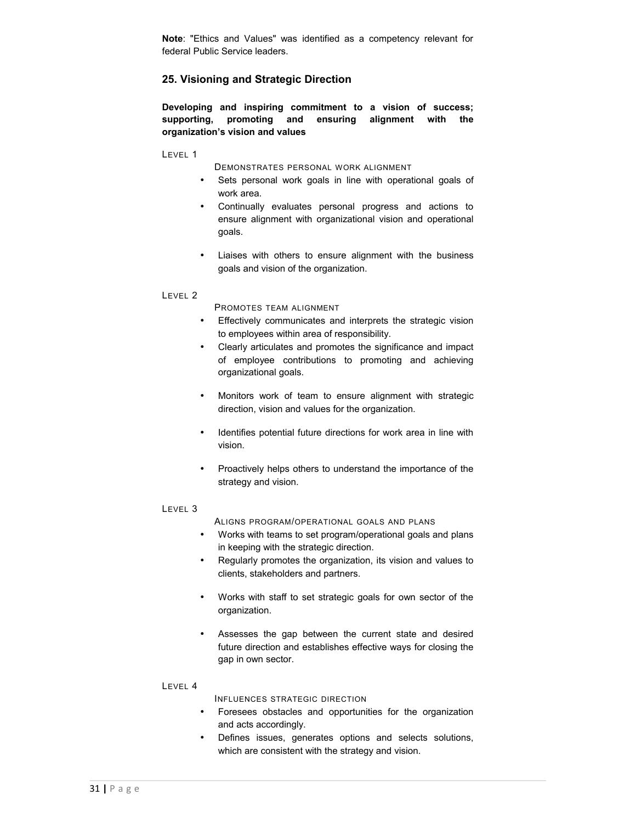**Note**: "Ethics and Values" was identified as a competency relevant for federal Public Service leaders.

# **25. Visioning and Strategic Direction**

**Developing and inspiring commitment to a vision of success; supporting, promoting and ensuring alignment with the organization's vision and values**

LEVEL 1

- DEMONSTRATES PERSONAL WORK ALIGNMENT
- Sets personal work goals in line with operational goals of work area.
- Continually evaluates personal progress and actions to ensure alignment with organizational vision and operational goals.
- Liaises with others to ensure alignment with the business goals and vision of the organization.

#### LEVEL 2

PROMOTES TEAM ALIGNMENT

- Effectively communicates and interprets the strategic vision to employees within area of responsibility.
- Clearly articulates and promotes the significance and impact of employee contributions to promoting and achieving organizational goals.
- Monitors work of team to ensure alignment with strategic direction, vision and values for the organization.
- Identifies potential future directions for work area in line with vision.
- Proactively helps others to understand the importance of the strategy and vision.

#### LEVEL 3

ALIGNS PROGRAM/OPERATIONAL GOALS AND PLANS

- Works with teams to set program/operational goals and plans in keeping with the strategic direction.
- Regularly promotes the organization, its vision and values to clients, stakeholders and partners.
- Works with staff to set strategic goals for own sector of the organization.
- Assesses the gap between the current state and desired future direction and establishes effective ways for closing the gap in own sector.

#### LEVEL 4

INFLUENCES STRATEGIC DIRECTION

- Foresees obstacles and opportunities for the organization and acts accordingly.
- Defines issues, generates options and selects solutions, which are consistent with the strategy and vision.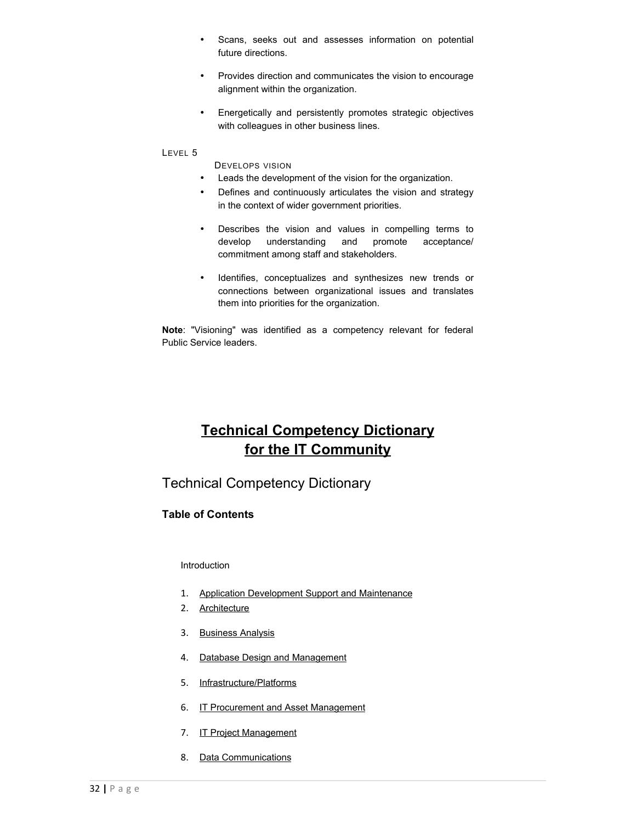- Scans, seeks out and assesses information on potential future directions.
- Provides direction and communicates the vision to encourage alignment within the organization.
- Energetically and persistently promotes strategic objectives with colleagues in other business lines.

DEVELOPS VISION

- Leads the development of the vision for the organization.
- Defines and continuously articulates the vision and strategy in the context of wider government priorities.
- Describes the vision and values in compelling terms to develop understanding and promote acceptance/ commitment among staff and stakeholders.
- Identifies, conceptualizes and synthesizes new trends or connections between organizational issues and translates them into priorities for the organization.

**Note**: "Visioning" was identified as a competency relevant for federal Public Service leaders.

# **Technical Competency Dictionary for the IT Community**

Technical Competency Dictionary

# **Table of Contents**

#### [Introduction](http://www.solutions.gc.ca/oro-bgc/comptech/comptech01_e.asp)

- 1. [Application Development Support and Maintenance](http://www.solutions.gc.ca/oro-bgc/comptech/comptech02_e.asp)
- 2. [Architecture](http://www.solutions.gc.ca/oro-bgc/comptech/comptech03_e.asp)
- 3. [Business Analysis](http://www.solutions.gc.ca/oro-bgc/comptech/comptech04_e.asp)
- 4. [Database Design and Management](http://www.solutions.gc.ca/oro-bgc/comptech/comptech05_e.asp)
- 5. [Infrastructure/Platforms](http://www.solutions.gc.ca/oro-bgc/comptech/comptech06_e.asp)
- 6. [IT Procurement and Asset Management](http://www.solutions.gc.ca/oro-bgc/comptech/comptech07_e.asp)
- 7. [IT Project Management](http://www.solutions.gc.ca/oro-bgc/comptech/comptech08_e.asp)
- 8. [Data Communications](http://www.solutions.gc.ca/oro-bgc/comptech/comptech09_e.asp)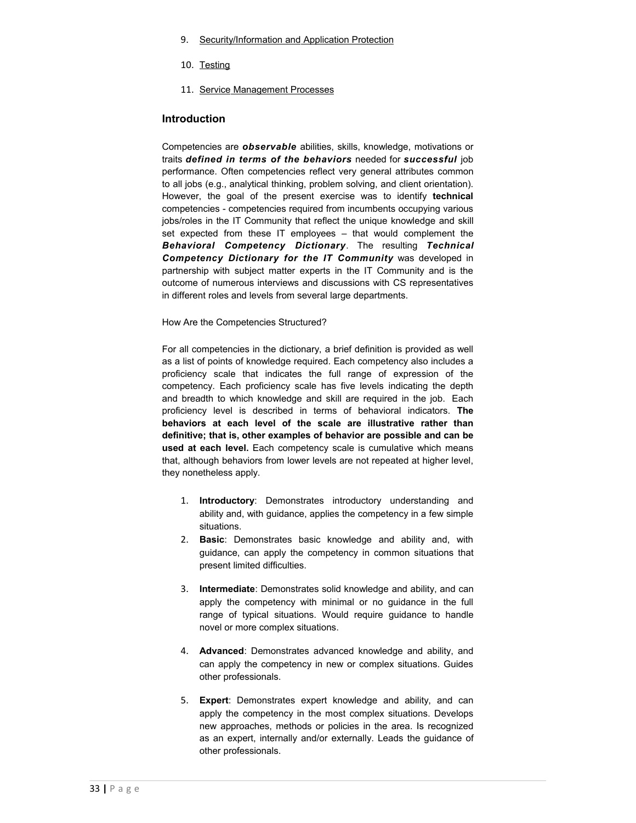- 9. [Security/Information and Application Protection](http://www.solutions.gc.ca/oro-bgc/comptech/comptech10_e.asp)
- 10. [Testing](http://www.solutions.gc.ca/oro-bgc/comptech/comptech11_e.asp)
- 11. [Service Management Processes](http://www.solutions.gc.ca/oro-bgc/comptech/comptech12_e.asp)

#### **Introduction**

Competencies are *observable* abilities, skills, knowledge, motivations or traits *defined in terms of the behaviors* needed for *successful* job performance. Often competencies reflect very general attributes common to all jobs (e.g., analytical thinking, problem solving, and client orientation). However, the goal of the present exercise was to identify **technical** competencies - competencies required from incumbents occupying various jobs/roles in the IT Community that reflect the unique knowledge and skill set expected from these IT employees – that would complement the *Behavioral Competency Dictionary*. The resulting *Technical Competency Dictionary for the IT Community* was developed in partnership with subject matter experts in the IT Community and is the outcome of numerous interviews and discussions with CS representatives in different roles and levels from several large departments.

#### How Are the Competencies Structured?

For all competencies in the dictionary, a brief definition is provided as well as a list of points of knowledge required. Each competency also includes a proficiency scale that indicates the full range of expression of the competency. Each proficiency scale has five levels indicating the depth and breadth to which knowledge and skill are required in the job. Each proficiency level is described in terms of behavioral indicators. **The behaviors at each level of the scale are illustrative rather than definitive; that is, other examples of behavior are possible and can be used at each level.** Each competency scale is cumulative which means that, although behaviors from lower levels are not repeated at higher level, they nonetheless apply.

- 1. **Introductory**: Demonstrates introductory understanding and ability and, with guidance, applies the competency in a few simple situations.
- 2. **Basic**: Demonstrates basic knowledge and ability and, with guidance, can apply the competency in common situations that present limited difficulties.
- 3. **Intermediate**: Demonstrates solid knowledge and ability, and can apply the competency with minimal or no guidance in the full range of typical situations. Would require guidance to handle novel or more complex situations.
- 4. **Advanced**: Demonstrates advanced knowledge and ability, and can apply the competency in new or complex situations. Guides other professionals.
- 5. **Expert**: Demonstrates expert knowledge and ability, and can apply the competency in the most complex situations. Develops new approaches, methods or policies in the area. Is recognized as an expert, internally and/or externally. Leads the guidance of other professionals.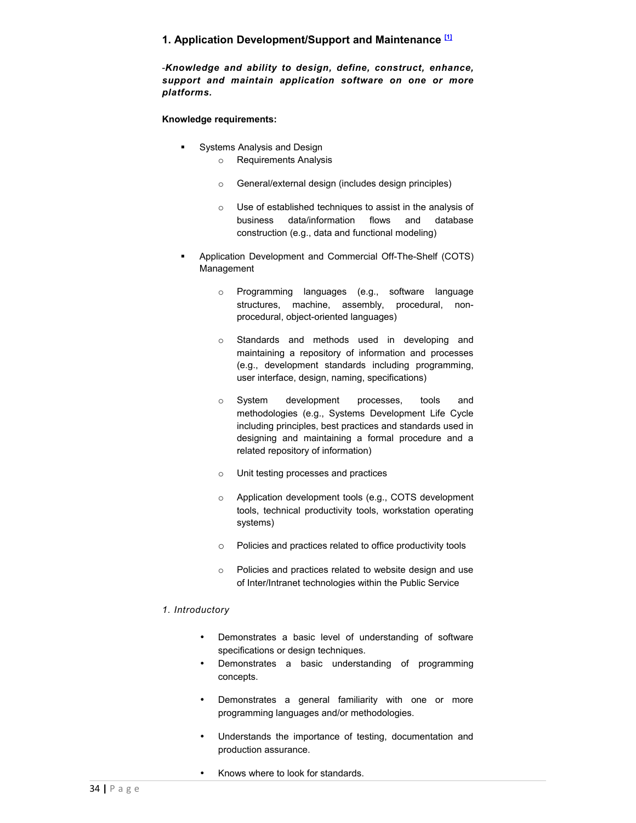# **1. Application Development/Support and Maintenance [\[1\]](http://www.solutions.gc.ca/oro-bgc/comptech/comptech02_e.asp#_ftn1%23_ftn1)**

-*Knowledge and ability to design, define, construct, enhance, support and maintain application software on one or more platforms.*

## **Knowledge requirements:**

- Systems Analysis and Design
	- o Requirements Analysis
	- o General/external design (includes design principles)
	- o Use of established techniques to assist in the analysis of business data/information flows and database construction (e.g., data and functional modeling)
- Application Development and Commercial Off-The-Shelf (COTS) Management
	- o Programming languages (e.g., software language structures, machine, assembly, procedural, nonprocedural, object-oriented languages)
	- o Standards and methods used in developing and maintaining a repository of information and processes (e.g., development standards including programming, user interface, design, naming, specifications)
	- o System development processes, tools and methodologies (e.g., Systems Development Life Cycle including principles, best practices and standards used in designing and maintaining a formal procedure and a related repository of information)
	- o Unit testing processes and practices
	- o Application development tools (e.g., COTS development tools, technical productivity tools, workstation operating systems)
	- o Policies and practices related to office productivity tools
	- o Policies and practices related to website design and use of Inter/Intranet technologies within the Public Service

#### *1. Introductory*

- Demonstrates a basic level of understanding of software specifications or design techniques.
- Demonstrates a basic understanding of programming concepts.
- Demonstrates a general familiarity with one or more programming languages and/or methodologies.
- Understands the importance of testing, documentation and production assurance.
- Knows where to look for standards.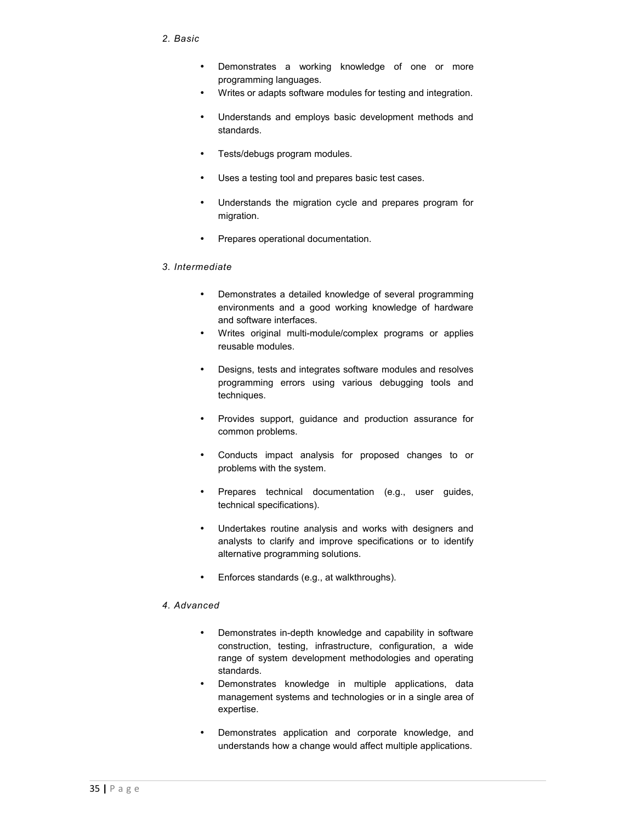#### *2. Basic*

- Demonstrates a working knowledge of one or more programming languages.
- Writes or adapts software modules for testing and integration.
- Understands and employs basic development methods and standards.
- Tests/debugs program modules.
- Uses a testing tool and prepares basic test cases.
- Understands the migration cycle and prepares program for migration.
- Prepares operational documentation.

#### *3. Intermediate*

- Demonstrates a detailed knowledge of several programming environments and a good working knowledge of hardware and software interfaces.
- Writes original multi-module/complex programs or applies reusable modules.
- Designs, tests and integrates software modules and resolves programming errors using various debugging tools and techniques.
- Provides support, guidance and production assurance for common problems.
- Conducts impact analysis for proposed changes to or problems with the system.
- Prepares technical documentation (e.g., user guides, technical specifications).
- Undertakes routine analysis and works with designers and analysts to clarify and improve specifications or to identify alternative programming solutions.
- Enforces standards (e.g., at walkthroughs).

#### *4. Advanced*

- Demonstrates in-depth knowledge and capability in software construction, testing, infrastructure, configuration, a wide range of system development methodologies and operating standards.
- Demonstrates knowledge in multiple applications, data management systems and technologies or in a single area of expertise.
- Demonstrates application and corporate knowledge, and understands how a change would affect multiple applications.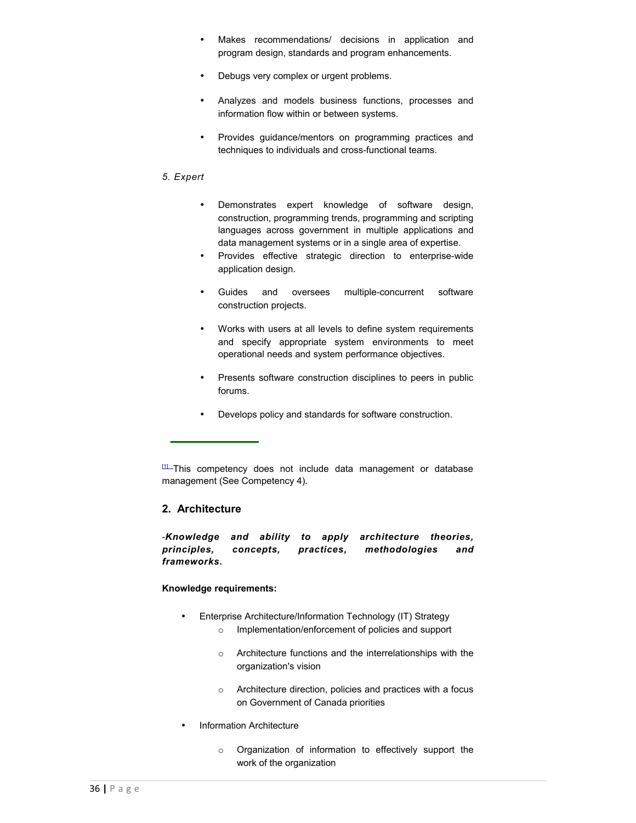- Makes recommendations/ decisions in application and program design, standards and program enhancements.
- Debugs very complex or urgent problems.
- Analyzes and models business functions, processes and information flow within or between systems.
- Provides guidance/mentors on programming practices and techniques to individuals and cross-functional teams.

#### *5. Expert*

- Demonstrates expert knowledge of software design, construction, programming trends, programming and scripting languages across government in multiple applications and data management systems or in a single area of expertise.
- Provides effective strategic direction to enterprise-wide application design.
- Guides and oversees multiple-concurrent software construction projects.
- Works with users at all levels to define system requirements and specify appropriate system environments to meet operational needs and system performance objectives.
- Presents software construction disciplines to peers in public forums.
- Develops policy and standards for software construction.

# **2. Architecture**

-*Knowledge and ability to apply architecture theories, principles, concepts, practices, methodologies and frameworks.*

## **Knowledge requirements:**

- Enterprise Architecture/Information Technology (IT) Strategy
	- o Implementation/enforcement of policies and support
	- o Architecture functions and the interrelationships with the organization's vision
	- o Architecture direction, policies and practices with a focus on Government of Canada priorities
- Information Architecture
	- o Organization of information to effectively support the work of the organization

[<sup>\[1\]</sup>](http://www.solutions.gc.ca/oro-bgc/comptech/comptech02_e.asp#_ftnref1%23_ftnref1) This competency does not include data management or database management (See Competency 4).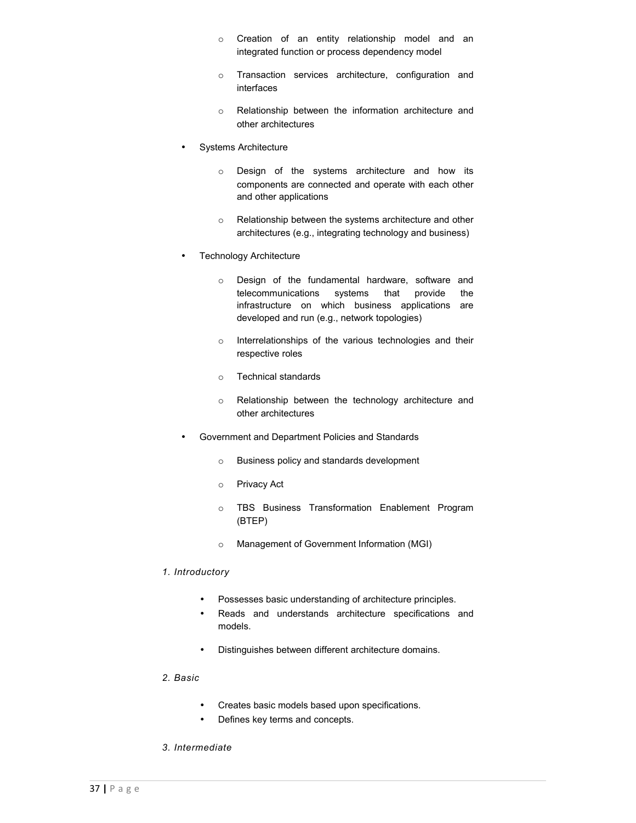- o Creation of an entity relationship model and an integrated function or process dependency model
- o Transaction services architecture, configuration and interfaces
- o Relationship between the information architecture and other architectures
- Systems Architecture
	- o Design of the systems architecture and how its components are connected and operate with each other and other applications
	- o Relationship between the systems architecture and other architectures (e.g., integrating technology and business)
- **Technology Architecture** 
	- o Design of the fundamental hardware, software and telecommunications systems that provide the infrastructure on which business applications are developed and run (e.g., network topologies)
	- o Interrelationships of the various technologies and their respective roles
	- o Technical standards
	- o Relationship between the technology architecture and other architectures
- Government and Department Policies and Standards
	- o Business policy and standards development
	- o Privacy Act
	- o TBS Business Transformation Enablement Program (BTEP)
	- o Management of Government Information (MGI)

# *1. Introductory*

- Possesses basic understanding of architecture principles.
- Reads and understands architecture specifications and models.
- Distinguishes between different architecture domains.

#### *2. Basic*

- Creates basic models based upon specifications.
- Defines key terms and concepts.
- *3. Intermediate*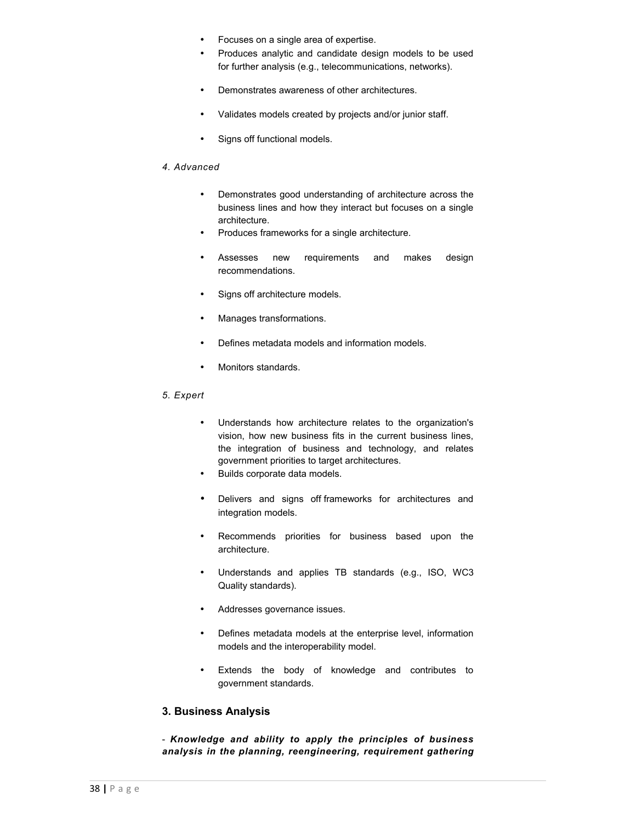- Focuses on a single area of expertise.
- Produces analytic and candidate design models to be used for further analysis (e.g., telecommunications, networks).
- Demonstrates awareness of other architectures.
- Validates models created by projects and/or junior staff.
- Signs off functional models.

#### *4. Advanced*

- Demonstrates good understanding of architecture across the business lines and how they interact but focuses on a single architecture.
- Produces frameworks for a single architecture.
- Assesses new requirements and makes design recommendations.
- Signs off architecture models.
- Manages transformations.
- Defines metadata models and information models.
- Monitors standards.

# *5. Expert*

- Understands how architecture relates to the organization's vision, how new business fits in the current business lines, the integration of business and technology, and relates government priorities to target architectures.
- Builds corporate data models.
- Delivers and signs off frameworks for architectures and integration models.
- Recommends priorities for business based upon the architecture.
- Understands and applies TB standards (e.g., ISO, WC3 Quality standards).
- Addresses governance issues.
- Defines metadata models at the enterprise level, information models and the interoperability model.
- Extends the body of knowledge and contributes to government standards.

# **3. Business Analysis**

- *Knowledge and ability to apply the principles of business analysis in the planning, reengineering, requirement gathering*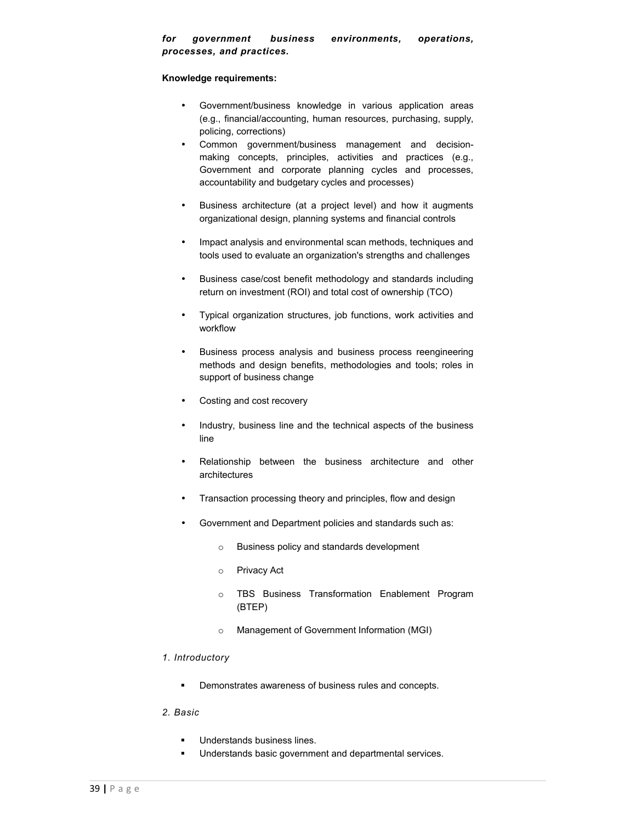#### **Knowledge requirements:**

- Government/business knowledge in various application areas (e.g., financial/accounting, human resources, purchasing, supply, policing, corrections)
- Common government/business management and decisionmaking concepts, principles, activities and practices (e.g., Government and corporate planning cycles and processes, accountability and budgetary cycles and processes)
- Business architecture (at a project level) and how it augments organizational design, planning systems and financial controls
- Impact analysis and environmental scan methods, techniques and tools used to evaluate an organization's strengths and challenges
- Business case/cost benefit methodology and standards including return on investment (ROI) and total cost of ownership (TCO)
- Typical organization structures, job functions, work activities and workflow
- Business process analysis and business process reengineering methods and design benefits, methodologies and tools; roles in support of business change
- Costing and cost recovery
- Industry, business line and the technical aspects of the business line
- Relationship between the business architecture and other architectures
- Transaction processing theory and principles, flow and design
- Government and Department policies and standards such as:
	- o Business policy and standards development
	- o Privacy Act
	- o TBS Business Transformation Enablement Program (BTEP)
	- o Management of Government Information (MGI)

# *1. Introductory*

**•** Demonstrates awareness of business rules and concepts.

#### *2. Basic*

- Understands business lines.
- **Understands basic government and departmental services.**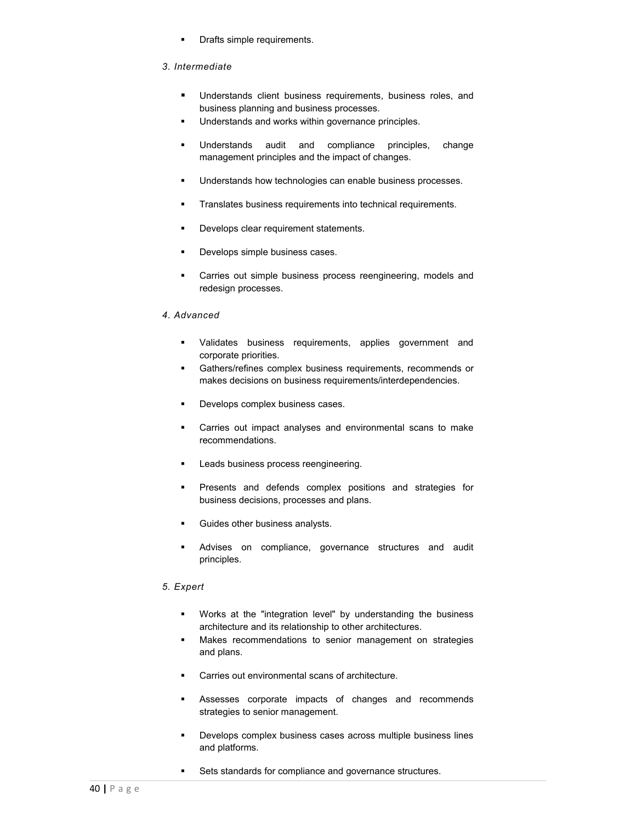**•** Drafts simple requirements.

# *3. Intermediate*

- **Understands client business requirements, business roles, and** business planning and business processes.
- **Understands and works within governance principles.**
- Understands audit and compliance principles, change management principles and the impact of changes.
- **Understands how technologies can enable business processes.**
- **Translates business requirements into technical requirements.**
- **Develops clear requirement statements.**
- Develops simple business cases.
- **Carries out simple business process reengineering, models and** redesign processes.

# *4. Advanced*

- **Validates business requirements, applies government and** corporate priorities.
- Gathers/refines complex business requirements, recommends or makes decisions on business requirements/interdependencies.
- **Develops complex business cases.**
- Carries out impact analyses and environmental scans to make recommendations.
- **Leads business process reengineering.**
- **Presents and defends complex positions and strategies for** business decisions, processes and plans.
- Guides other business analysts.
- **Advises on compliance, governance structures and audit** principles.

# *5. Expert*

- Works at the "integration level" by understanding the business architecture and its relationship to other architectures.
- Makes recommendations to senior management on strategies and plans.
- Carries out environmental scans of architecture.
- Assesses corporate impacts of changes and recommends strategies to senior management.
- Develops complex business cases across multiple business lines and platforms.
- **Sets standards for compliance and governance structures.**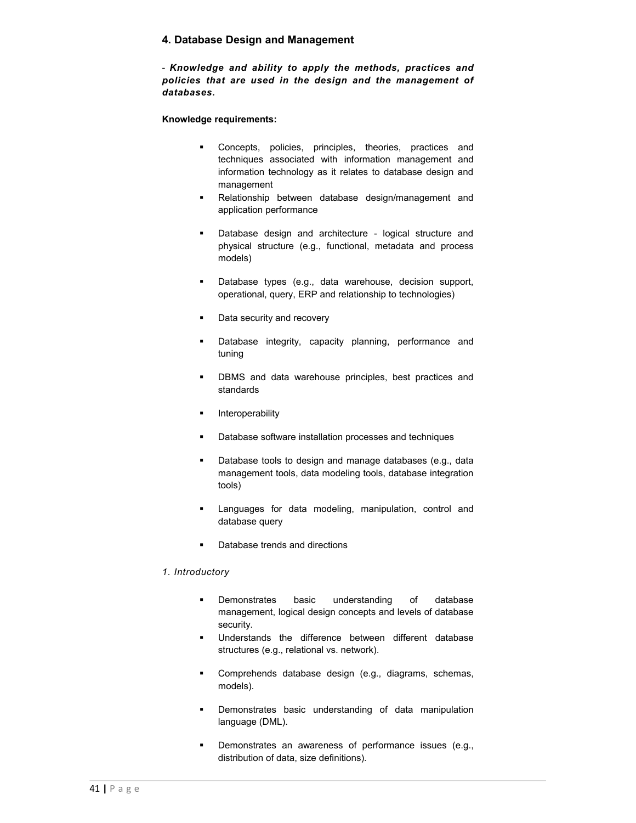# **4. Database Design and Management**

- *Knowledge and ability to apply the methods, practices and policies that are used in the design and the management of databases.*

**Knowledge requirements:**

- **Concepts, policies, principles, theories, practices and** techniques associated with information management and information technology as it relates to database design and management
- Relationship between database design/management and application performance
- **Database design and architecture logical structure and** physical structure (e.g., functional, metadata and process models)
- Database types (e.g., data warehouse, decision support, operational, query, ERP and relationship to technologies)
- Data security and recovery
- **Database integrity, capacity planning, performance and** tuning
- **•** DBMS and data warehouse principles, best practices and standards
- **Interoperability**
- **Database software installation processes and techniques**
- Database tools to design and manage databases (e.g., data management tools, data modeling tools, database integration tools)
- **Languages for data modeling, manipulation, control and** database query
- Database trends and directions

# *1. Introductory*

- **Demonstrates** basic understanding of database management, logical design concepts and levels of database security.
- Understands the difference between different database structures (e.g., relational vs. network).
- Comprehends database design (e.g., diagrams, schemas, models).
- **•** Demonstrates basic understanding of data manipulation language (DML).
- **•** Demonstrates an awareness of performance issues (e.g., distribution of data, size definitions).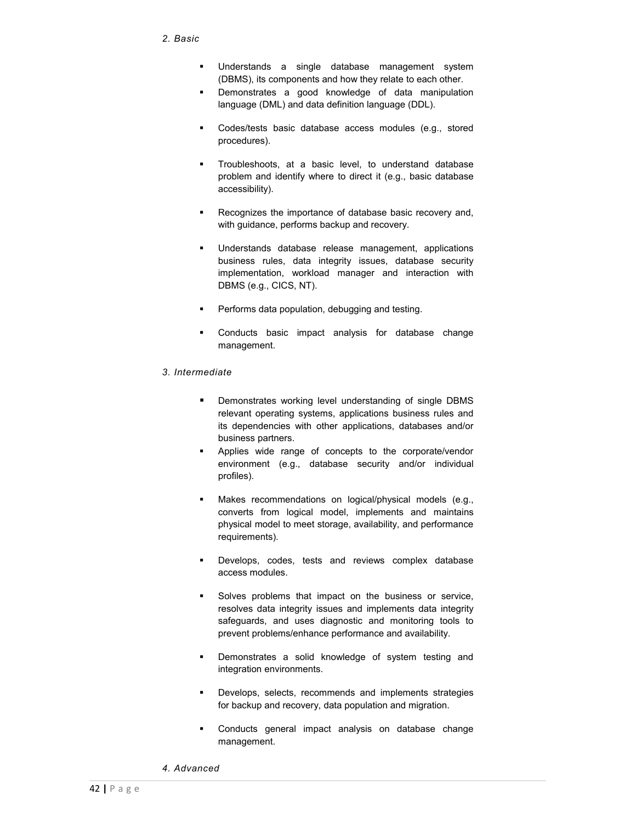- Understands a single database management system (DBMS), its components and how they relate to each other.
- **Demonstrates a good knowledge of data manipulation** language (DML) and data definition language (DDL).
- **Codes/tests basic database access modules (e.g., stored** procedures).
- **Troubleshoots, at a basic level, to understand database** problem and identify where to direct it (e.g., basic database accessibility).
- **Recognizes the importance of database basic recovery and,** with guidance, performs backup and recovery.
- Understands database release management, applications business rules, data integrity issues, database security implementation, workload manager and interaction with DBMS (e.g., CICS, NT).
- **Performs data population, debugging and testing.**
- Conducts basic impact analysis for database change management.

#### *3. Intermediate*

- **•** Demonstrates working level understanding of single DBMS relevant operating systems, applications business rules and its dependencies with other applications, databases and/or business partners.
- **Applies wide range of concepts to the corporate/vendor** environment (e.g., database security and/or individual profiles).
- **Makes recommendations on logical/physical models (e.g.,** converts from logical model, implements and maintains physical model to meet storage, availability, and performance requirements).
- Develops, codes, tests and reviews complex database access modules.
- **Solves problems that impact on the business or service,** resolves data integrity issues and implements data integrity safeguards, and uses diagnostic and monitoring tools to prevent problems/enhance performance and availability.
- Demonstrates a solid knowledge of system testing and integration environments.
- **Develops, selects, recommends and implements strategies** for backup and recovery, data population and migration.
- **Conducts general impact analysis on database change** management.
- *4. Advanced*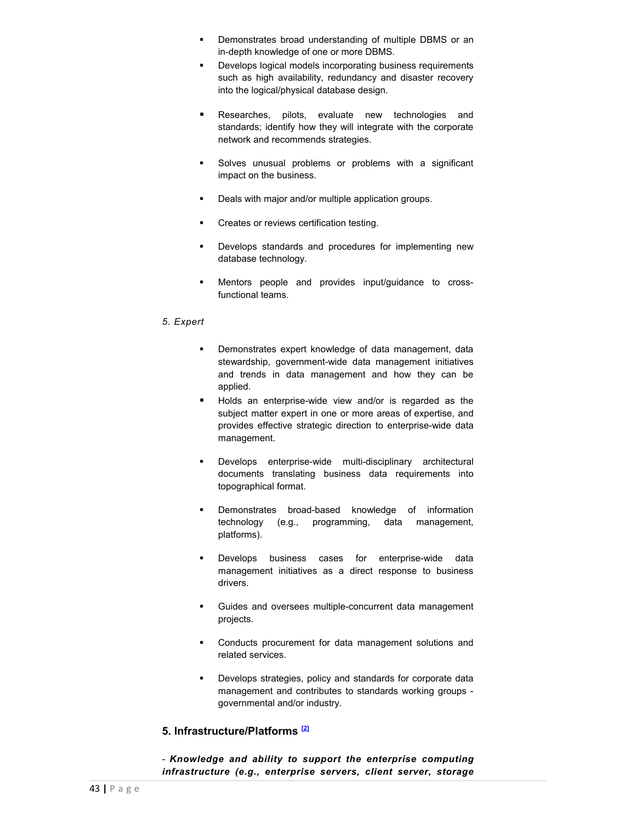- **•** Demonstrates broad understanding of multiple DBMS or an in-depth knowledge of one or more DBMS.
- **•** Develops logical models incorporating business requirements such as high availability, redundancy and disaster recovery into the logical/physical database design.
- Researches, pilots, evaluate new technologies and standards; identify how they will integrate with the corporate network and recommends strategies.
- Solves unusual problems or problems with a significant impact on the business.
- **•** Deals with major and/or multiple application groups.
- **•** Creates or reviews certification testing.
- **•** Develops standards and procedures for implementing new database technology.
- Mentors people and provides input/guidance to crossfunctional teams.

#### *5. Expert*

- **Demonstrates expert knowledge of data management, data** stewardship, government-wide data management initiatives and trends in data management and how they can be applied.
- Holds an enterprise-wide view and/or is regarded as the subject matter expert in one or more areas of expertise, and provides effective strategic direction to enterprise-wide data management.
- Develops enterprise-wide multi-disciplinary architectural documents translating business data requirements into topographical format.
- **Demonstrates broad-based knowledge of information** technology (e.g., programming, data management, platforms).
- **Develops business cases for enterprise-wide data** management initiatives as a direct response to business drivers.
- Guides and oversees multiple-concurrent data management projects.
- **•** Conducts procurement for data management solutions and related services.
- **•** Develops strategies, policy and standards for corporate data management and contributes to standards working groups governmental and/or industry.

# **5. Infrastructure/Platforms [\[2\]](http://www.solutions.gc.ca/oro-bgc/comptech/comptech06_e.asp#_ftn2%23_ftn2)**

- *Knowledge and ability to support the enterprise computing infrastructure (e.g., enterprise servers, client server, storage*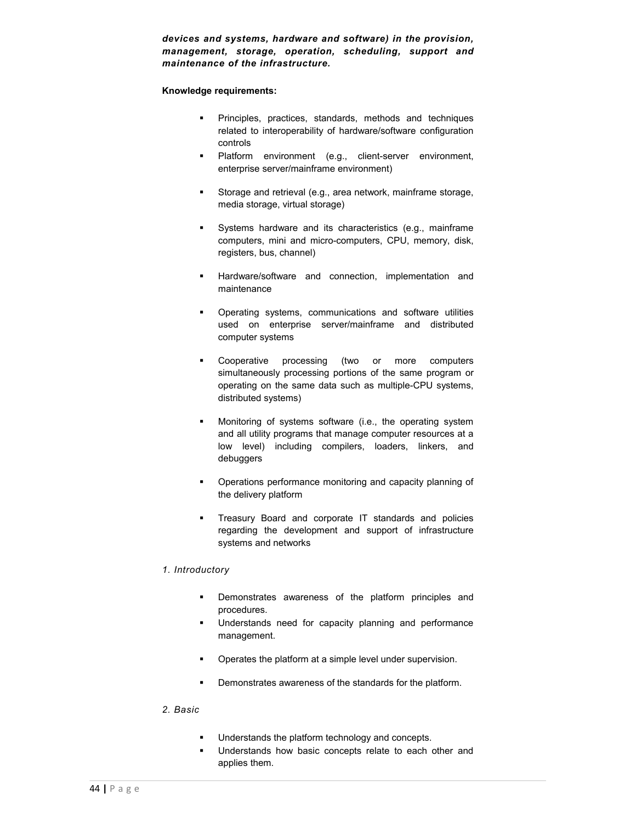*devices and systems, hardware and software) in the provision, management, storage, operation, scheduling, support and maintenance of the infrastructure.*

#### **Knowledge requirements:**

- **Principles, practices, standards, methods and techniques** related to interoperability of hardware/software configuration controls
- **Platform** environment (e.g., client-server environment, enterprise server/mainframe environment)
- **Storage and retrieval (e.g., area network, mainframe storage,** media storage, virtual storage)
- Systems hardware and its characteristics (e.g., mainframe computers, mini and micro-computers, CPU, memory, disk, registers, bus, channel)
- Hardware/software and connection, implementation and maintenance
- Operating systems, communications and software utilities used on enterprise server/mainframe and distributed computer systems
- **•** Cooperative processing (two or more computers simultaneously processing portions of the same program or operating on the same data such as multiple-CPU systems, distributed systems)
- Monitoring of systems software (i.e., the operating system and all utility programs that manage computer resources at a low level) including compilers, loaders, linkers, and debuggers
- Operations performance monitoring and capacity planning of the delivery platform
- **Treasury Board and corporate IT standards and policies** regarding the development and support of infrastructure systems and networks

#### *1. Introductory*

- Demonstrates awareness of the platform principles and procedures.
- Understands need for capacity planning and performance management.
- **•** Operates the platform at a simple level under supervision.
- **•** Demonstrates awareness of the standards for the platform.

# *2. Basic*

- **Understands the platform technology and concepts.**
- **Understands how basic concepts relate to each other and** applies them.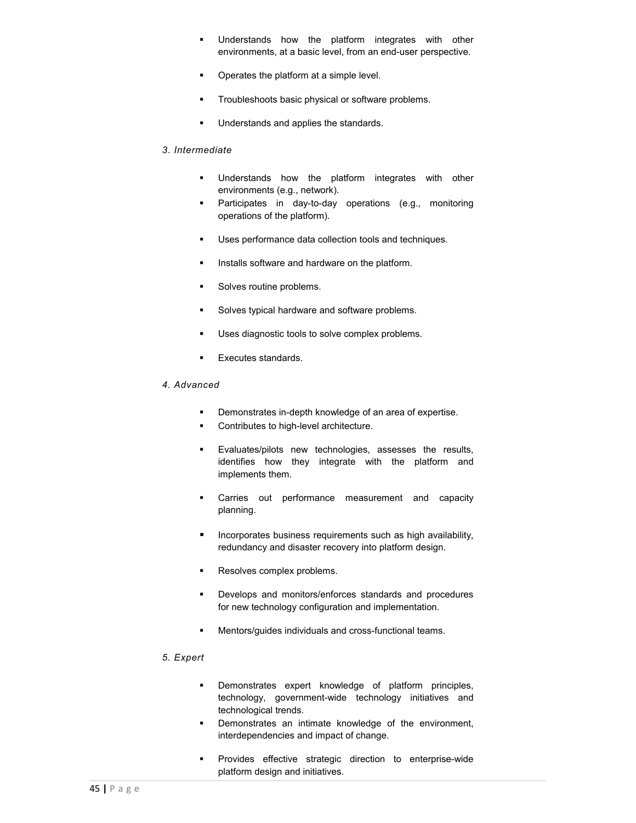- **Understands** how the platform integrates with other environments, at a basic level, from an end-user perspective.
- **•** Operates the platform at a simple level.
- **Troubleshoots basic physical or software problems.**
- **Understands and applies the standards.**

#### *3. Intermediate*

- **Understands** how the platform integrates with other environments (e.g., network).
- **Participates in day-to-day operations (e.g., monitoring** operations of the platform).
- Uses performance data collection tools and techniques.
- Installs software and hardware on the platform.
- **Solves routine problems.**
- **Solves typical hardware and software problems.**
- Uses diagnostic tools to solve complex problems.
- **Executes standards**
- *4. Advanced*
	- **Demonstrates in-depth knowledge of an area of expertise.**
	- Contributes to high-level architecture.
	- **Evaluates/pilots new technologies, assesses the results,** identifies how they integrate with the platform and implements them.
	- **Carries** out performance measurement and capacity planning.
	- **Incorporates business requirements such as high availability,** redundancy and disaster recovery into platform design.
	- **Resolves complex problems.**
	- **Develops and monitors/enforces standards and procedures** for new technology configuration and implementation.
	- Mentors/guides individuals and cross-functional teams.

# *5. Expert*

- Demonstrates expert knowledge of platform principles, technology, government-wide technology initiatives and technological trends.
- **Demonstrates an intimate knowledge of the environment,** interdependencies and impact of change.
- **Provides effective strategic direction to enterprise-wide** platform design and initiatives.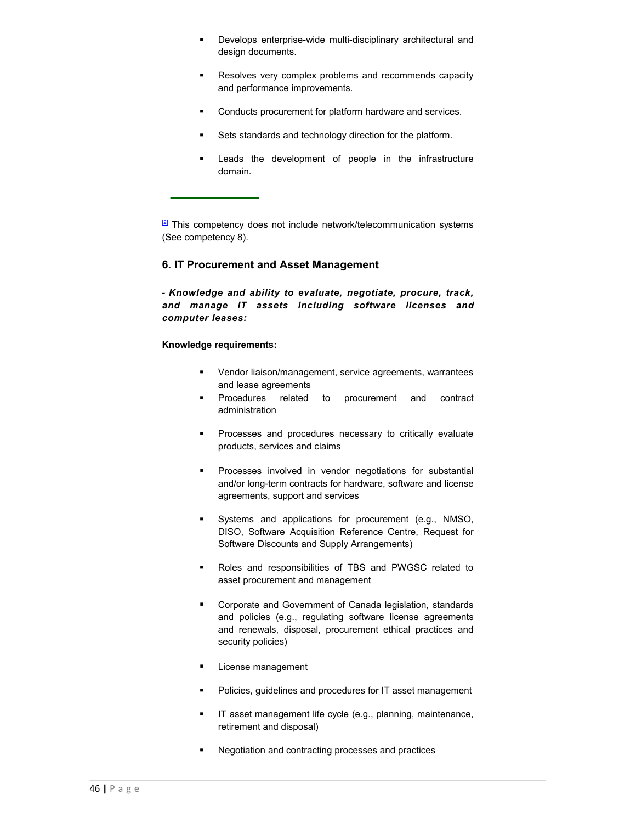- **•** Develops enterprise-wide multi-disciplinary architectural and design documents.
- Resolves very complex problems and recommends capacity and performance improvements.
- **Conducts procurement for platform hardware and services.**
- **Sets standards and technology direction for the platform.**
- **EXEC** Leads the development of people in the infrastructure domain.

 $2$  This competency does not include network/telecommunication systems (See competency 8).

### **6. IT Procurement and Asset Management**

- *Knowledge and ability to evaluate, negotiate, procure, track, and manage IT assets including software licenses and computer leases:*

#### **Knowledge requirements:**

- Vendor liaison/management, service agreements, warrantees and lease agreements
- Procedures related to procurement and contract administration
- **Processes and procedures necessary to critically evaluate** products, services and claims
- **Processes involved in vendor negotiations for substantial** and/or long-term contracts for hardware, software and license agreements, support and services
- Systems and applications for procurement (e.g., NMSO, DISO, Software Acquisition Reference Centre, Request for Software Discounts and Supply Arrangements)
- Roles and responsibilities of TBS and PWGSC related to asset procurement and management
- **Corporate and Government of Canada legislation, standards** and policies (e.g., regulating software license agreements and renewals, disposal, procurement ethical practices and security policies)
- **License management**
- **•** Policies, guidelines and procedures for IT asset management
- **IT** asset management life cycle (e.g., planning, maintenance, retirement and disposal)
- Negotiation and contracting processes and practices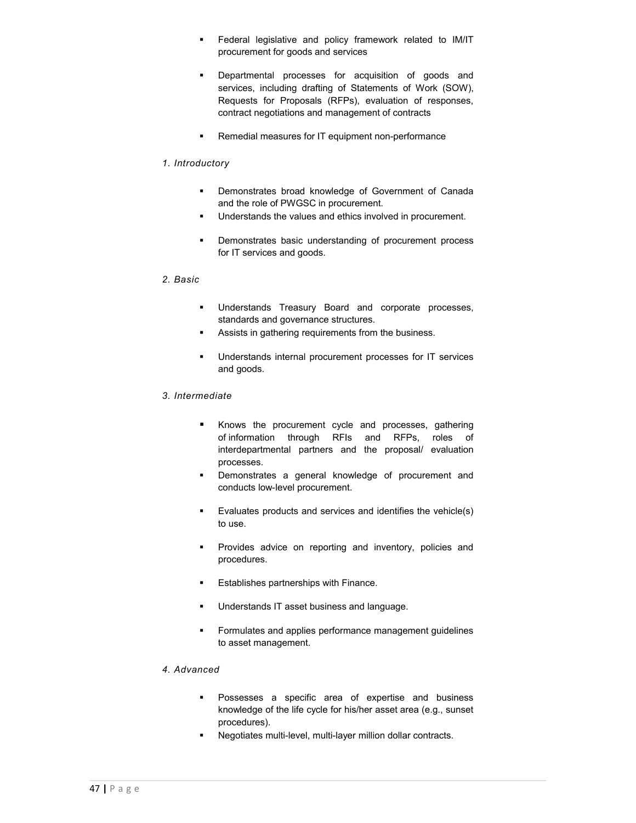- **Federal legislative and policy framework related to IM/IT** procurement for goods and services
- **Departmental processes for acquisition of goods and** services, including drafting of Statements of Work (SOW), Requests for Proposals (RFPs), evaluation of responses, contract negotiations and management of contracts
- Remedial measures for IT equipment non-performance

## *1. Introductory*

- **Demonstrates broad knowledge of Government of Canada** and the role of PWGSC in procurement.
- **Understands the values and ethics involved in procurement.**
- **•** Demonstrates basic understanding of procurement process for IT services and goods.

## *2. Basic*

- Understands Treasury Board and corporate processes, standards and governance structures.
- **Assists in gathering requirements from the business.**
- Understands internal procurement processes for IT services and goods.

## *3. Intermediate*

- **Knows the procurement cycle and processes, gathering** of information through RFIs and RFPs, roles of interdepartmental partners and the proposal/ evaluation processes.
- Demonstrates a general knowledge of procurement and conducts low-level procurement.
- Evaluates products and services and identifies the vehicle(s) to use.
- **Provides advice on reporting and inventory, policies and** procedures.
- **Establishes partnerships with Finance.**
- **Understands IT asset business and language.**
- **Formulates and applies performance management guidelines** to asset management.

# *4. Advanced*

- **Possesses a specific area of expertise and business** knowledge of the life cycle for his/her asset area (e.g., sunset procedures).
- Negotiates multi-level, multi-layer million dollar contracts.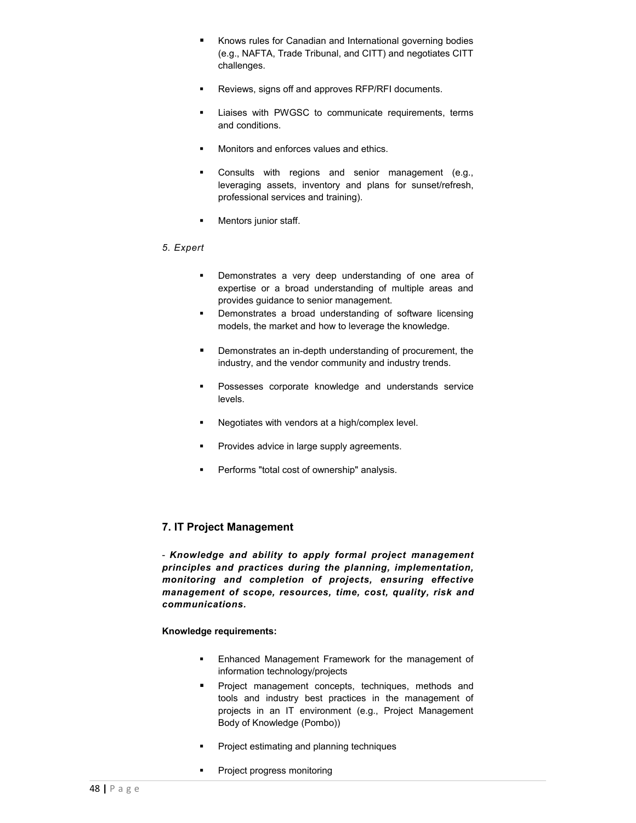- Knows rules for Canadian and International governing bodies (e.g., NAFTA, Trade Tribunal, and CITT) and negotiates CITT challenges.
- Reviews, signs off and approves RFP/RFI documents.
- **EXECUTE:** Liaises with PWGSC to communicate requirements, terms and conditions.
- Monitors and enforces values and ethics.
- Consults with regions and senior management (e.g., leveraging assets, inventory and plans for sunset/refresh, professional services and training).
- **Nentors junior staff.**

# *5. Expert*

- **Demonstrates a very deep understanding of one area of** expertise or a broad understanding of multiple areas and provides guidance to senior management.
- **•** Demonstrates a broad understanding of software licensing models, the market and how to leverage the knowledge.
- **•** Demonstrates an in-depth understanding of procurement, the industry, and the vendor community and industry trends.
- **Possesses corporate knowledge and understands service** levels.
- **Negotiates with vendors at a high/complex level.**
- **Provides advice in large supply agreements.**
- **Performs "total cost of ownership" analysis.**

# **7. IT Project Management**

- *Knowledge and ability to apply formal project management principles and practices during the planning, implementation, monitoring and completion of projects, ensuring effective management of scope, resources, time, cost, quality, risk and communications.*

# **Knowledge requirements:**

- **Enhanced Management Framework for the management of** information technology/projects
- **Project management concepts, techniques, methods and** tools and industry best practices in the management of projects in an IT environment (e.g., Project Management Body of Knowledge (Pombo))
- Project estimating and planning techniques
- Project progress monitoring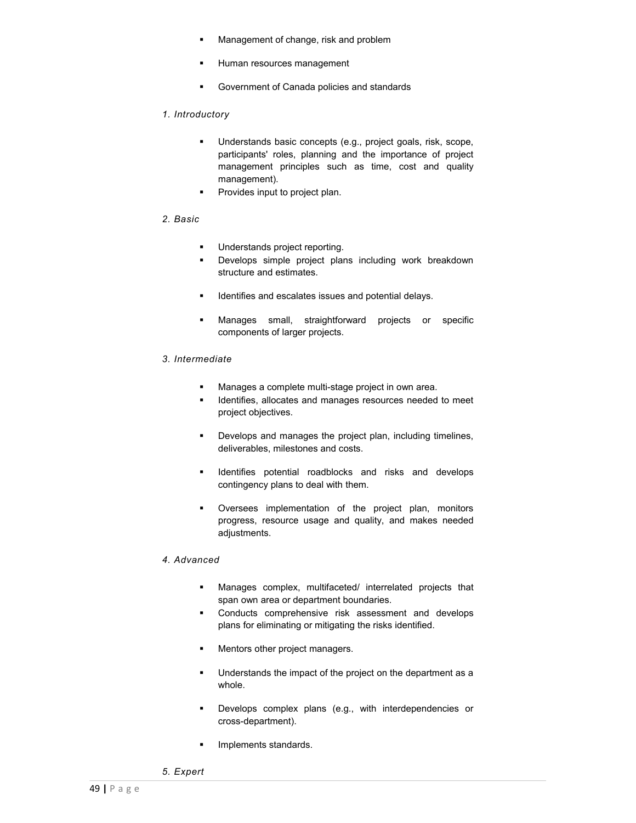- **Management of change, risk and problem**
- **Human resources management**
- Government of Canada policies and standards

# *1. Introductory*

- Understands basic concepts (e.g., project goals, risk, scope, participants' roles, planning and the importance of project management principles such as time, cost and quality management).
- **Provides input to project plan.**

#### *2. Basic*

- Understands project reporting.
- Develops simple project plans including work breakdown structure and estimates.
- **IDENTIFIELD IDENTIFIELD** issues and potential delays.
- Manages small, straightforward projects or specific components of larger projects.

#### *3. Intermediate*

- **Manages a complete multi-stage project in own area.**
- **IDENTIFIELD** Identifies, allocates and manages resources needed to meet project objectives.
- **•** Develops and manages the project plan, including timelines, deliverables, milestones and costs.
- **IDENT IDENT IS A LOCAL TO A LOCAL TEAM** is a local develops contingency plans to deal with them.
- Oversees implementation of the project plan, monitors progress, resource usage and quality, and makes needed adjustments.

#### *4. Advanced*

- Manages complex, multifaceted/ interrelated projects that span own area or department boundaries.
- **Conducts comprehensive risk assessment and develops** plans for eliminating or mitigating the risks identified.
- **Mentors other project managers.**
- Understands the impact of the project on the department as a whole.
- **Develops complex plans (e.g., with interdependencies or** cross-department).
- **Implements standards.**
- *5. Expert*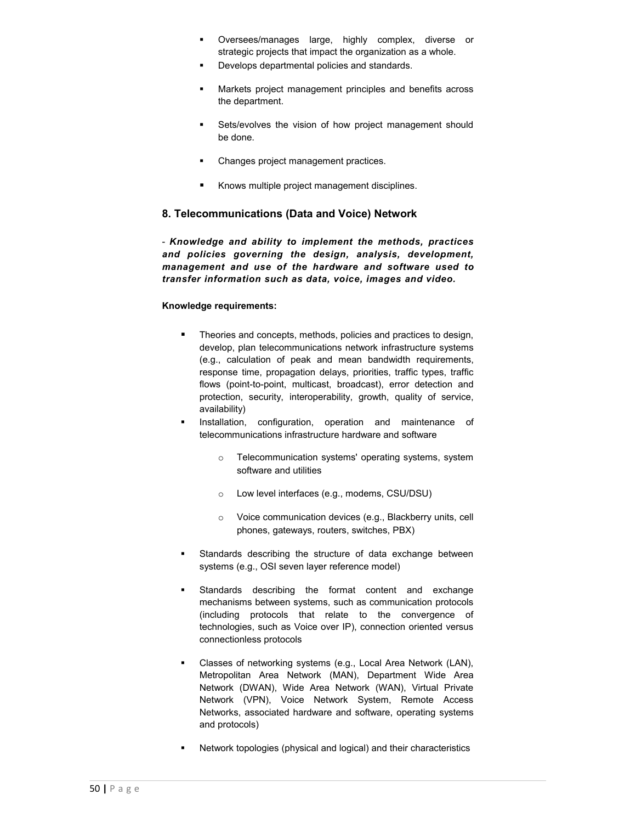- Oversees/manages large, highly complex, diverse or strategic projects that impact the organization as a whole.
- Develops departmental policies and standards.
- **Markets project management principles and benefits across** the department.
- **Sets/evolves the vision of how project management should** be done.
- Changes project management practices.
- Knows multiple project management disciplines.

# **8. Telecommunications (Data and Voice) Network**

- *Knowledge and ability to implement the methods, practices and policies governing the design, analysis, development, management and use of the hardware and software used to transfer information such as data, voice, images and video.*

#### **Knowledge requirements:**

- **Theories and concepts, methods, policies and practices to design,** develop, plan telecommunications network infrastructure systems (e.g., calculation of peak and mean bandwidth requirements, response time, propagation delays, priorities, traffic types, traffic flows (point-to-point, multicast, broadcast), error detection and protection, security, interoperability, growth, quality of service, availability)
- Installation, configuration, operation and maintenance of telecommunications infrastructure hardware and software
	- Telecommunication systems' operating systems, system software and utilities
	- o Low level interfaces (e.g., modems, CSU/DSU)
	- o Voice communication devices (e.g., Blackberry units, cell phones, gateways, routers, switches, PBX)
- Standards describing the structure of data exchange between systems (e.g., OSI seven layer reference model)
- Standards describing the format content and exchange mechanisms between systems, such as communication protocols (including protocols that relate to the convergence of technologies, such as Voice over IP), connection oriented versus connectionless protocols
- Classes of networking systems (e.g., Local Area Network (LAN), Metropolitan Area Network (MAN), Department Wide Area Network (DWAN), Wide Area Network (WAN), Virtual Private Network (VPN), Voice Network System, Remote Access Networks, associated hardware and software, operating systems and protocols)
- Network topologies (physical and logical) and their characteristics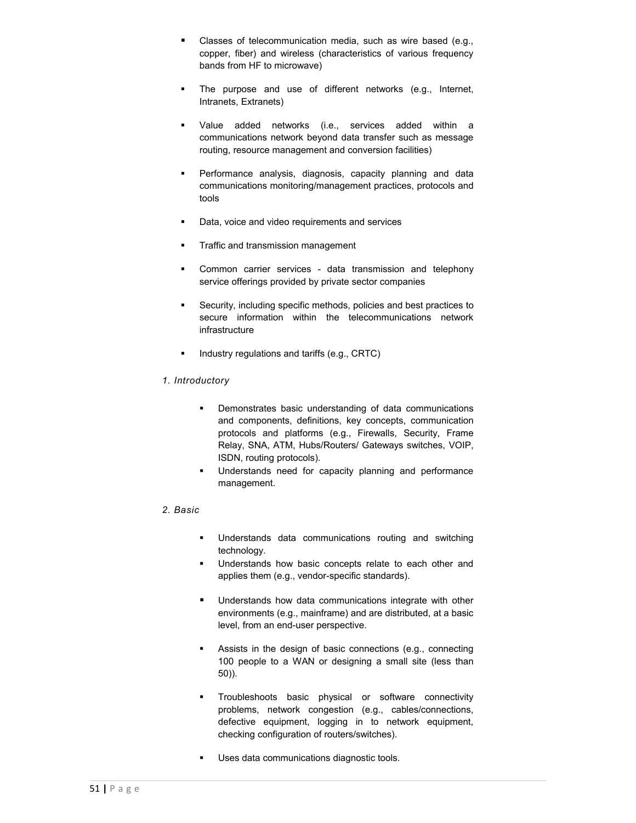- **Classes of telecommunication media, such as wire based (e.g.,** copper, fiber) and wireless (characteristics of various frequency bands from HF to microwave)
- The purpose and use of different networks (e.g., Internet, Intranets, Extranets)
- Value added networks (i.e., services added within a communications network beyond data transfer such as message routing, resource management and conversion facilities)
- Performance analysis, diagnosis, capacity planning and data communications monitoring/management practices, protocols and tools
- Data, voice and video requirements and services
- **Traffic and transmission management**
- Common carrier services data transmission and telephony service offerings provided by private sector companies
- Security, including specific methods, policies and best practices to secure information within the telecommunications network infrastructure
- Industry regulations and tariffs (e.g., CRTC)

#### *1. Introductory*

- **•** Demonstrates basic understanding of data communications and components, definitions, key concepts, communication protocols and platforms (e.g., Firewalls, Security, Frame Relay, SNA, ATM, Hubs/Routers/ Gateways switches, VOIP, ISDN, routing protocols).
- **Understands need for capacity planning and performance** management.

#### *2. Basic*

- **Understands data communications routing and switching** technology.
- **Understands how basic concepts relate to each other and** applies them (e.g., vendor-specific standards).
- **Understands how data communications integrate with other** environments (e.g., mainframe) and are distributed, at a basic level, from an end-user perspective.
- Assists in the design of basic connections (e.g., connecting 100 people to a WAN or designing a small site (less than 50)).
- **Troubleshoots basic physical or software connectivity** problems, network congestion (e.g., cables/connections, defective equipment, logging in to network equipment, checking configuration of routers/switches).
- **Uses data communications diagnostic tools.**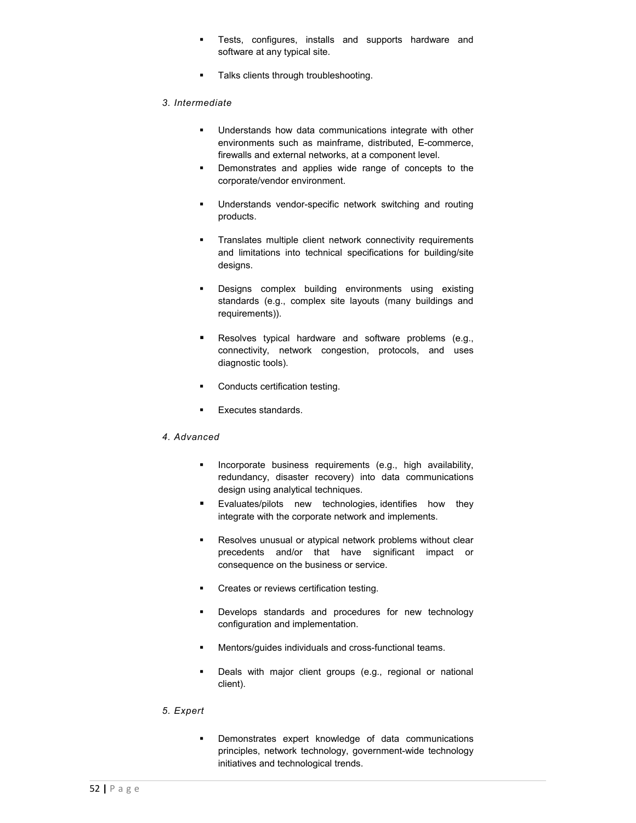- **Tests, configures, installs and supports hardware and** software at any typical site.
- **Talks clients through troubleshooting.**

## *3. Intermediate*

- **Understands how data communications integrate with other** environments such as mainframe, distributed, E-commerce, firewalls and external networks, at a component level.
- **•** Demonstrates and applies wide range of concepts to the corporate/vendor environment.
- Understands vendor-specific network switching and routing products.
- **Translates multiple client network connectivity requirements** and limitations into technical specifications for building/site designs.
- **•** Designs complex building environments using existing standards (e.g., complex site layouts (many buildings and requirements)).
- Resolves typical hardware and software problems (e.g., connectivity, network congestion, protocols, and uses diagnostic tools).
- **•** Conducts certification testing.
- **Executes standards.**

#### *4. Advanced*

- **Incorporate business requirements (e.g., high availability,** redundancy, disaster recovery) into data communications design using analytical techniques.
- Evaluates/pilots new technologies, identifies how they integrate with the corporate network and implements.
- **Resolves unusual or atypical network problems without clear** precedents and/or that have significant impact or consequence on the business or service.
- **•** Creates or reviews certification testing.
- **Develops standards and procedures for new technology** configuration and implementation.
- **Mentors/guides individuals and cross-functional teams.**
- **Deals with major client groups (e.g., regional or national** client).

#### *5. Expert*

 Demonstrates expert knowledge of data communications principles, network technology, government-wide technology initiatives and technological trends.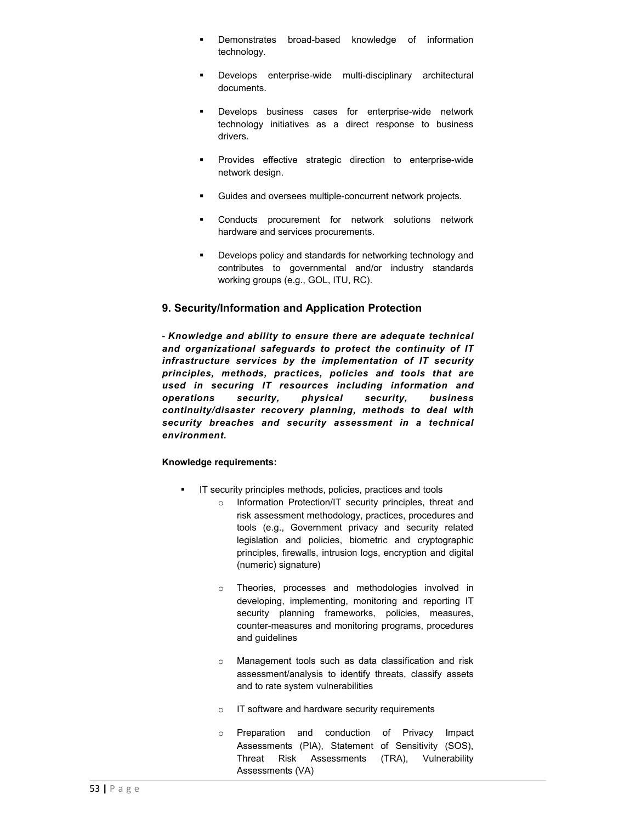- Demonstrates broad-based knowledge of information technology.
- Develops enterprise-wide multi-disciplinary architectural documents.
- **Develops business cases for enterprise-wide network** technology initiatives as a direct response to business drivers.
- **Provides effective strategic direction to enterprise-wide** network design.
- Guides and oversees multiple-concurrent network projects.
- Conducts procurement for network solutions network hardware and services procurements.
- **Develops policy and standards for networking technology and** contributes to governmental and/or industry standards working groups (e.g., GOL, ITU, RC).

# **9. Security/Information and Application Protection**

- *Knowledge and ability to ensure there are adequate technical and organizational safeguards to protect the continuity of IT infrastructure services by the implementation of IT security principles, methods, practices, policies and tools that are used in securing IT resources including information and operations security, physical security, business continuity/disaster recovery planning, methods to deal with security breaches and security assessment in a technical environment.*

## **Knowledge requirements:**

- **IF Security principles methods, policies, practices and tools** 
	- o Information Protection/IT security principles, threat and risk assessment methodology, practices, procedures and tools (e.g., Government privacy and security related legislation and policies, biometric and cryptographic principles, firewalls, intrusion logs, encryption and digital (numeric) signature)
	- o Theories, processes and methodologies involved in developing, implementing, monitoring and reporting IT security planning frameworks, policies, measures, counter-measures and monitoring programs, procedures and guidelines
	- o Management tools such as data classification and risk assessment/analysis to identify threats, classify assets and to rate system vulnerabilities
	- o IT software and hardware security requirements
	- o Preparation and conduction of Privacy Impact Assessments (PIA), Statement of Sensitivity (SOS), Threat Risk Assessments (TRA), Vulnerability Assessments (VA)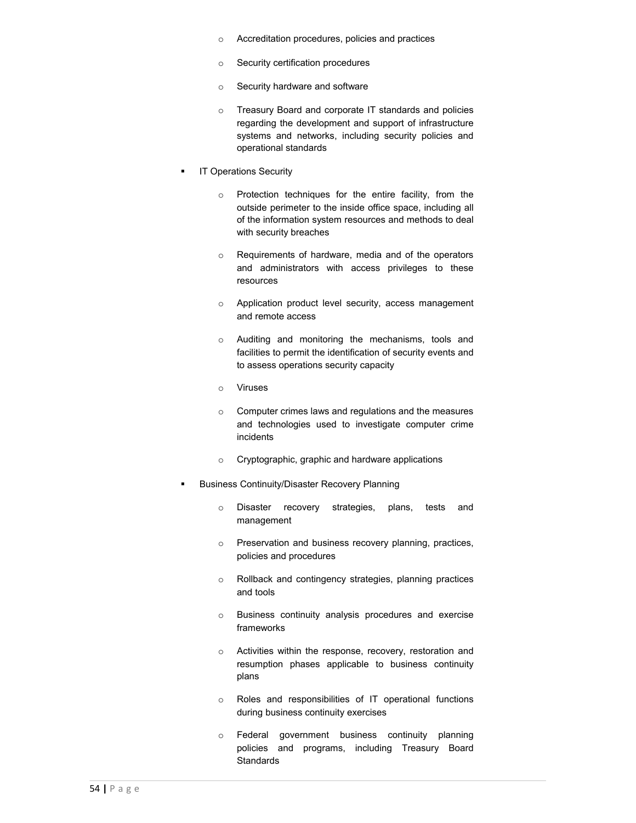- o Accreditation procedures, policies and practices
- o Security certification procedures
- o Security hardware and software
- o Treasury Board and corporate IT standards and policies regarding the development and support of infrastructure systems and networks, including security policies and operational standards
- **IT Operations Security** 
	- o Protection techniques for the entire facility, from the outside perimeter to the inside office space, including all of the information system resources and methods to deal with security breaches
	- o Requirements of hardware, media and of the operators and administrators with access privileges to these resources
	- o Application product level security, access management and remote access
	- o Auditing and monitoring the mechanisms, tools and facilities to permit the identification of security events and to assess operations security capacity
	- o Viruses
	- o Computer crimes laws and regulations and the measures and technologies used to investigate computer crime incidents
	- o Cryptographic, graphic and hardware applications
- Business Continuity/Disaster Recovery Planning
	- o Disaster recovery strategies, plans, tests and management
	- o Preservation and business recovery planning, practices, policies and procedures
	- o Rollback and contingency strategies, planning practices and tools
	- o Business continuity analysis procedures and exercise frameworks
	- o Activities within the response, recovery, restoration and resumption phases applicable to business continuity plans
	- o Roles and responsibilities of IT operational functions during business continuity exercises
	- o Federal government business continuity planning policies and programs, including Treasury Board **Standards**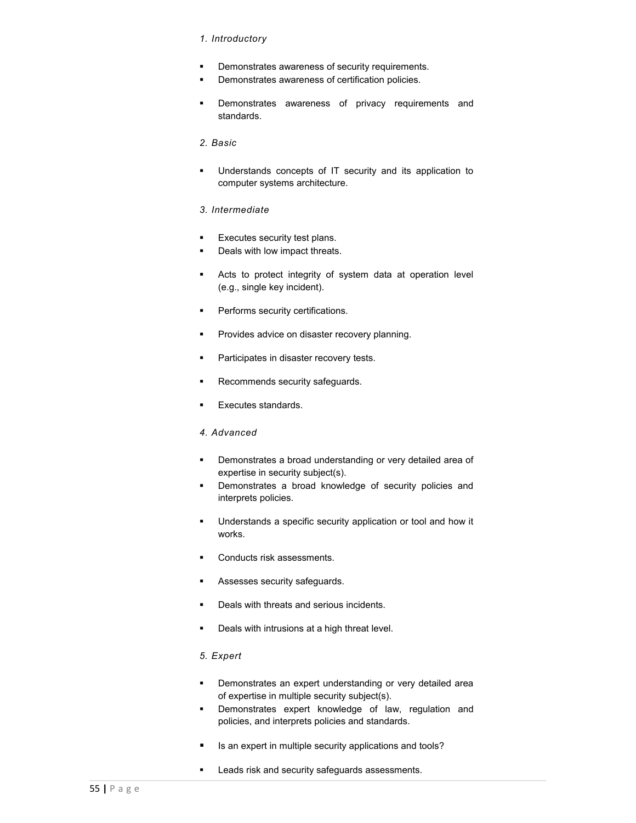#### *1. Introductory*

- **•** Demonstrates awareness of security requirements.
- **•** Demonstrates awareness of certification policies.
- **•** Demonstrates awareness of privacy requirements and standards.

# *2. Basic*

 Understands concepts of IT security and its application to computer systems architecture.

# *3. Intermediate*

- **Executes security test plans.**
- Deals with low impact threats.
- Acts to protect integrity of system data at operation level (e.g., single key incident).
- **•** Performs security certifications.
- **Provides advice on disaster recovery planning.**
- **Participates in disaster recovery tests.**
- **Recommends security safeguards.**
- **Executes standards.**

# *4. Advanced*

- **•** Demonstrates a broad understanding or very detailed area of expertise in security subject(s).
- **•** Demonstrates a broad knowledge of security policies and interprets policies.
- Understands a specific security application or tool and how it works.
- **Conducts risk assessments.**
- **Assesses security safeguards.**
- **•** Deals with threats and serious incidents.
- **Deals with intrusions at a high threat level.**

# *5. Expert*

- **•** Demonstrates an expert understanding or very detailed area of expertise in multiple security subject(s).
- **Demonstrates expert knowledge of law, regulation and** policies, and interprets policies and standards.
- Is an expert in multiple security applications and tools?
- **Leads risk and security safeguards assessments.**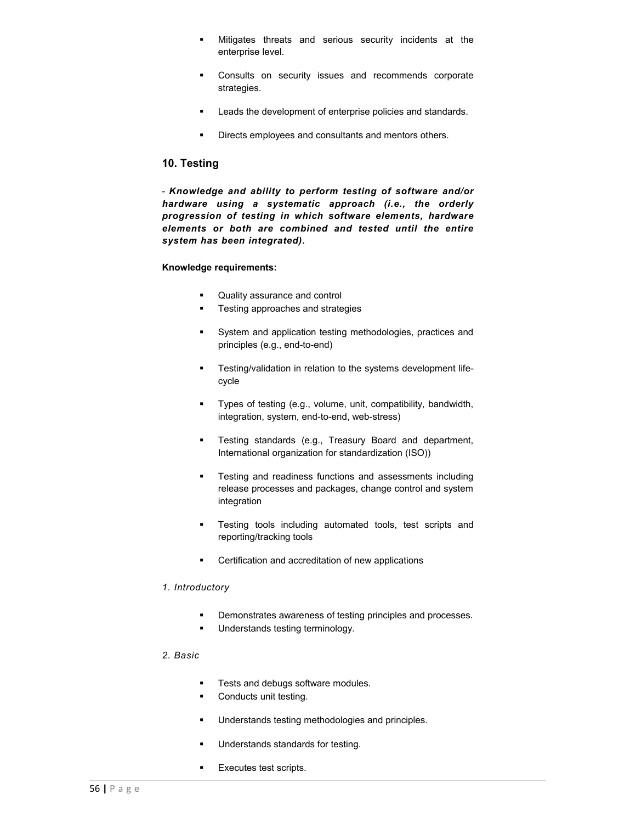- Mitigates threats and serious security incidents at the enterprise level.
- **Consults on security issues and recommends corporate** strategies.
- **Leads the development of enterprise policies and standards.**
- **•** Directs employees and consultants and mentors others.

# **10. Testing**

- *Knowledge and ability to perform testing of software and/or hardware using a systematic approach (i.e., the orderly progression of testing in which software elements, hardware elements or both are combined and tested until the entire system has been integrated).*

#### **Knowledge requirements:**

- **Quality assurance and control**
- **Testing approaches and strategies**
- System and application testing methodologies, practices and principles (e.g., end-to-end)
- **Testing/validation in relation to the systems development life**cycle
- Types of testing (e.g., volume, unit, compatibility, bandwidth, integration, system, end-to-end, web-stress)
- **Testing standards (e.g., Treasury Board and department,** International organization for standardization (ISO))
- **Testing and readiness functions and assessments including** release processes and packages, change control and system integration
- **Testing tools including automated tools, test scripts and** reporting/tracking tools
- **EXEC** Certification and accreditation of new applications

#### *1. Introductory*

- **•** Demonstrates awareness of testing principles and processes.
- Understands testing terminology.

#### *2. Basic*

- Tests and debugs software modules.
- Conducts unit testing.
- **Understands testing methodologies and principles.**
- Understands standards for testing.
- **Executes test scripts.**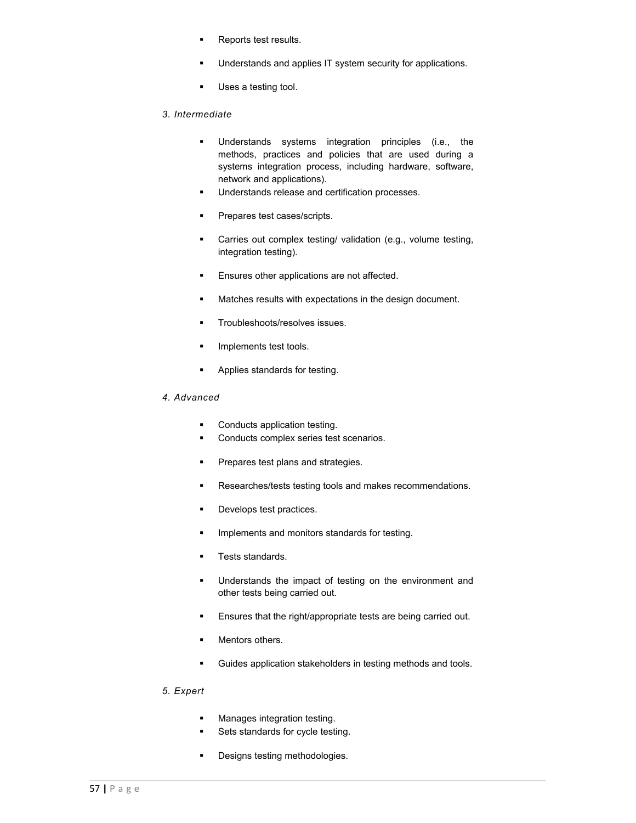- **Reports test results.**
- **Understands and applies IT system security for applications.**
- **Uses a testing tool.**

# *3. Intermediate*

- Understands systems integration principles (i.e., the methods, practices and policies that are used during a systems integration process, including hardware, software, network and applications).
- **Understands release and certification processes.**
- **Prepares test cases/scripts.**
- Carries out complex testing/ validation (e.g., volume testing, integration testing).
- **Ensures other applications are not affected.**
- **Matches results with expectations in the design document.**
- **Troubleshoots/resolves issues.**
- **Implements test tools.**
- **Applies standards for testing.**

# *4. Advanced*

- Conducts application testing.
- **Conducts complex series test scenarios.**
- **Prepares test plans and strategies.**
- Researches/tests testing tools and makes recommendations.
- **Develops test practices.**
- **IMPLEMENTS and monitors standards for testing.**
- **Tests standards.**
- **Understands the impact of testing on the environment and** other tests being carried out.
- **Ensures that the right/appropriate tests are being carried out.**
- **Mentors others.**
- Guides application stakeholders in testing methods and tools.

# *5. Expert*

- **Manages integration testing.**
- **Sets standards for cycle testing.**
- **•** Designs testing methodologies.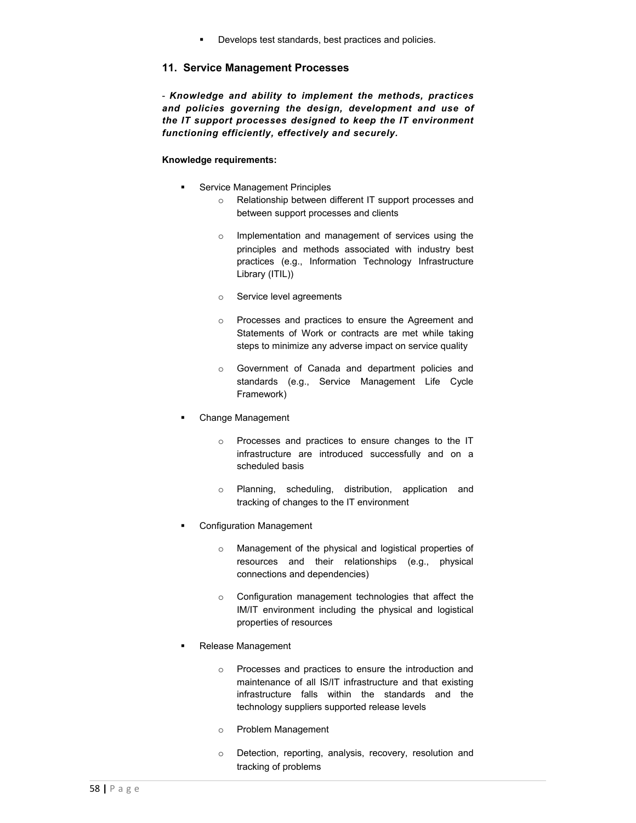Develops test standards, best practices and policies.

# **11. Service Management Processes**

- *Knowledge and ability to implement the methods, practices and policies governing the design, development and use of the IT support processes designed to keep the IT environment functioning efficiently, effectively and securely.*

# **Knowledge requirements:**

- **Service Management Principles** 
	- o Relationship between different IT support processes and between support processes and clients
	- o Implementation and management of services using the principles and methods associated with industry best practices (e.g., Information Technology Infrastructure Library (ITIL))
	- o Service level agreements
	- o Processes and practices to ensure the Agreement and Statements of Work or contracts are met while taking steps to minimize any adverse impact on service quality
	- o Government of Canada and department policies and standards (e.g., Service Management Life Cycle Framework)
- Change Management
	- o Processes and practices to ensure changes to the IT infrastructure are introduced successfully and on a scheduled basis
	- o Planning, scheduling, distribution, application and tracking of changes to the IT environment
- Configuration Management
	- o Management of the physical and logistical properties of resources and their relationships (e.g., physical connections and dependencies)
	- o Configuration management technologies that affect the IM/IT environment including the physical and logistical properties of resources
- Release Management
	- o Processes and practices to ensure the introduction and maintenance of all IS/IT infrastructure and that existing infrastructure falls within the standards and the technology suppliers supported release levels
	- o Problem Management
	- o Detection, reporting, analysis, recovery, resolution and tracking of problems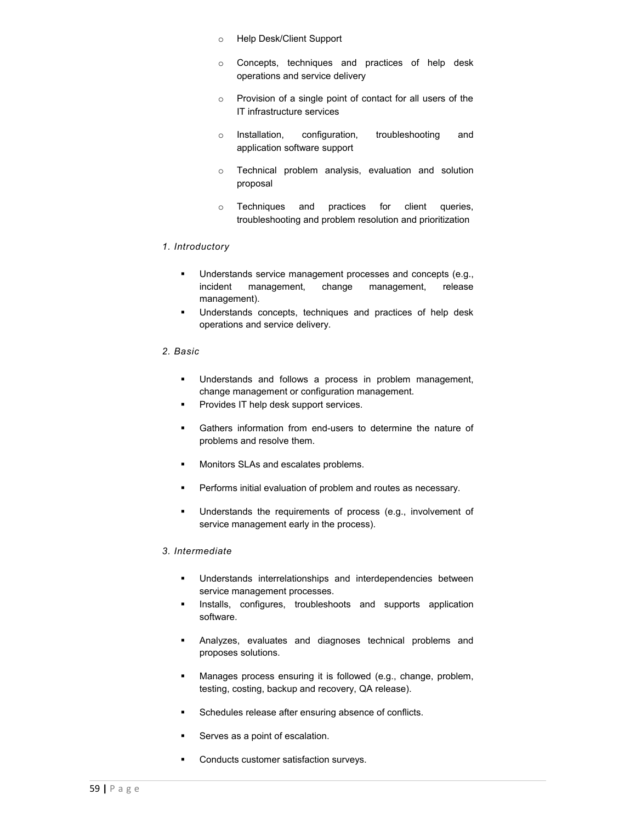- o Help Desk/Client Support
- o Concepts, techniques and practices of help desk operations and service delivery
- o Provision of a single point of contact for all users of the IT infrastructure services
- o Installation, configuration, troubleshooting and application software support
- o Technical problem analysis, evaluation and solution proposal
- o Techniques and practices for client queries, troubleshooting and problem resolution and prioritization

#### *1. Introductory*

- **Understands service management processes and concepts (e.g.,** incident management, change management, release management).
- Understands concepts, techniques and practices of help desk operations and service delivery.

#### *2. Basic*

- **Understands and follows a process in problem management,** change management or configuration management.
- **Provides IT help desk support services.**
- Gathers information from end-users to determine the nature of problems and resolve them.
- **Monitors SLAs and escalates problems.**
- **Performs initial evaluation of problem and routes as necessary.**
- **Understands the requirements of process (e.g., involvement of** service management early in the process).

#### *3. Intermediate*

- Understands interrelationships and interdependencies between service management processes.
- **Installs, configures, troubleshoots and supports application** software.
- Analyzes, evaluates and diagnoses technical problems and proposes solutions.
- **Manages process ensuring it is followed (e.g., change, problem,** testing, costing, backup and recovery, QA release).
- **Schedules release after ensuring absence of conflicts.**
- **Serves as a point of escalation.**
- **•** Conducts customer satisfaction surveys.